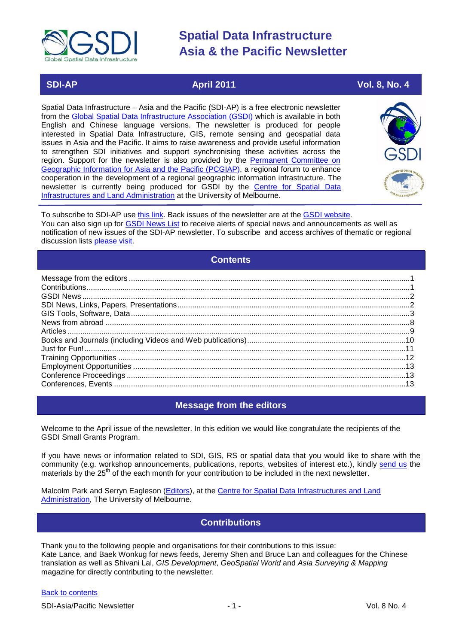

# **SDI-AP April 2011 Vol. 8, No. 4**

Spatial Data Infrastructure – Asia and the Pacific (SDI-AP) is a free electronic newsletter from the [Global Spatial Data Infrastructure Association \(GSDI\)](http://www.gsdi.org/) which is available in both English and Chinese language versions. The newsletter is produced for people interested in Spatial Data Infrastructure, GIS, remote sensing and geospatial data issues in Asia and the Pacific. It aims to raise awareness and provide useful information to strengthen SDI initiatives and support synchronising these activities across the region. Support for the newsletter is also provided by the Permanent Committee on [Geographic Information for Asia and the Pacific \(PCGIAP\)](http://www.pcgiap.org/), a regional forum to enhance cooperation in the development of a regional geographic information infrastructure. The newsletter is currently being produced for GSDI by the [Centre for Spatial Data](http://www.csdila.unimelb.edu.au/)  [Infrastructures and Land Administration](http://www.csdila.unimelb.edu.au/) at the University of Melbourne.



To subscribe to SDI-AP use [this link.](http://www.gsdi.org/newslist/gsdisubscribe.asp) Back issues of the newsletter are at the [GSDI website.](http://www.gsdi.org/newsletters.asp) You can also sign up for **GSDI News List** to receive alerts of special news and announcements as well as notification of new issues of the SDI-AP newsletter. To subscribe and access archives of thematic or regional discussion lists [please visit.](http://www.gsdi.org/discussionlists.asp)

# **Contents**

<span id="page-0-0"></span>

### **Message from the editors**

<span id="page-0-1"></span>Welcome to the April issue of the newsletter. In this edition we would like congratulate the recipients of the GSDI Small Grants Program.

If you have news or information related to SDI, GIS, RS or spatial data that you would like to share with the community (e.g. workshop announcements, publications, reports, websites of interest etc.), kindly [send us](mailto:.SDI-AP@gsdi.org) the materials by the 25<sup>th</sup> of the each month for your contribution to be included in the next newsletter.

<span id="page-0-2"></span>Malcolm Park and Serryn Eagleson [\(Editors\)](mailto:Editor.SDIAP@gmail.com), at the [Centre for Spatial Data Infrastructures and Land](http://www.csdila.unimelb.edu.au/)  [Administration,](http://www.csdila.unimelb.edu.au/) The University of Melbourne.

# **Contributions**

Thank you to the following people and organisations for their contributions to this issue: Kate Lance, and Baek Wonkug for news feeds, Jeremy Shen and Bruce Lan and colleagues for the Chinese translation as well as Shivani Lal, *GIS Development*, *GeoSpatial World* and *Asia Surveying & Mapping* magazine for directly contributing to the newsletter.

#### [Back to contents](#page-0-0)

SDI-Asia/Pacific Newsletter  $\overline{1}$  - 1 -  $\overline{2}$  - 1 -  $\overline{2}$  Vol. 8 No. 4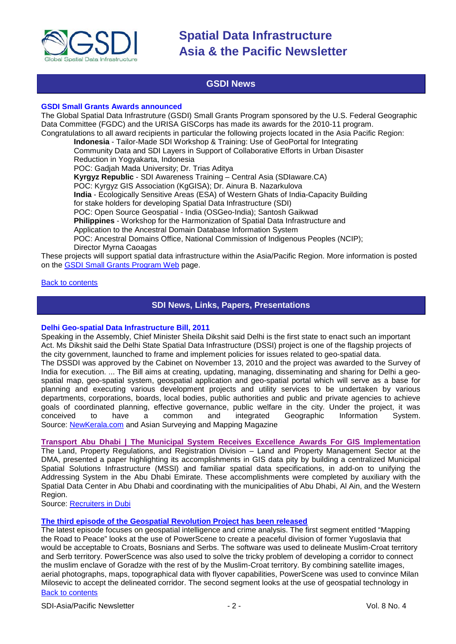

### **GSDI News**

#### <span id="page-1-0"></span>**GSDI Small Grants Awards announced**

The Global Spatial Data Infrastruture (GSDI) Small Grants Program sponsored by the U.S. Federal Geographic Data Committee (FGDC) and the URISA GISCorps has made its awards for the 2010-11 program. Congratulations to all award recipients in particular the following projects located in the Asia Pacific Region:

**Indonesia** - Tailor-Made SDI Workshop & Training: Use of GeoPortal for Integrating Community Data and SDI Layers in Support of Collaborative Efforts in Urban Disaster Reduction in Yogyakarta, Indonesia POC: Gadjah Mada University; Dr. Trias Aditya **Kyrgyz Republic** - SDI Awareness Training – Central Asia (SDIaware.CA) POC: Kyrgyz GIS Association (KgGISA); Dr. Ainura B. Nazarkulova

**India** - Ecologically Sensitive Areas (ESA) of Western Ghats of India-Capacity Building

for stake holders for developing Spatial Data Infrastructure (SDI)

POC: Open Source Geospatial - India (OSGeo-India); Santosh Gaikwad

**Philippines** - Workshop for the Harmonization of Spatial Data Infrastructure and

Application to the Ancestral Domain Database Information System

POC: Ancestral Domains Office, National Commission of Indigenous Peoples (NCIP); Director Myrna Caoagas

These projects will support spatial data infrastructure within the Asia/Pacific Region. More information is posted on the [GSDI Small Grants Program Web](http://www.gsdi.org/sic1) page.

#### <span id="page-1-1"></span>[Back to contents](#page-0-0)

### **SDI News, Links, Papers, Presentations**

#### **Delhi Geo-spatial Data Infrastructure Bill, 2011**

Speaking in the Assembly, Chief Minister Sheila Dikshit said Delhi is the first state to enact such an important Act. Ms Dikshit said the Delhi State Spatial Data Infrastructure (DSSI) project is one of the flagship projects of the city government, launched to frame and implement policies for issues related to geo-spatial data. The DSSDI was approved by the Cabinet on November 13, 2010 and the project was awarded to the Survey of India for execution. ... The Bill aims at creating, updating, managing, disseminating and sharing for Delhi a geospatial map, geo-spatial system, geospatial application and geo-spatial portal which will serve as a base for planning and executing various development projects and utility services to be undertaken by various departments, corporations, boards, local bodies, public authorities and public and private agencies to achieve goals of coordinated planning, effective governance, public welfare in the city. Under the project, it was conceived to have a common and integrated Geographic Information System. conceived to have a common and integrated Geographic Information System. Source: [NewKerala.com](http://www.newkerala.com/news/world/fullnews-174615.html/) and Asian Surveying and Mapping Magazine

#### **[Transport Abu Dhabi | The Municipal System Receives Excellence Awards For GIS Implementation](http://www.recruitersindubai.recruitmentagenciesdubai.com/abu-dhabi-work/transport-abu-dhabi-the-municipal-system-receives-excellence-awards-for-gis-implementation/)**

The Land, Property Regulations, and Registration Division – Land and Property Management Sector at the DMA, presented a paper highlighting its accomplishments in GIS data pity by building a centralized Municipal Spatial Solutions Infrastructure (MSSI) and familiar spatial data specifications, in add-on to unifying the Addressing System in the Abu Dhabi Emirate. These accomplishments were completed by auxiliary with the Spatial Data Center in Abu Dhabi and coordinating with the municipalities of Abu Dhabi, Al Ain, and the Western Region.

Source: [Recruiters in Dubi](http://www.recruitersindubai.recruitmentagenciesdubai.com/abu-dhabi-work/transport-abu-dhabi-the-municipal-system-receives-excellence-awards-for-gis-implementation/)

#### **[The third episode of the Geospatial Revolution Project has been released](http://geospatialrevolution.psu.edu/episode3/complete)**

[Back to contents](#page-0-0) The latest episode focuses on geospatial intelligence and crime analysis. The first segment entitled "Mapping the Road to Peace" looks at the use of PowerScene to create a peaceful division of former Yugoslavia that would be acceptable to Croats, Bosnians and Serbs. The software was used to delineate Muslim-Croat territory and Serb territory. PowerScence was also used to solve the tricky problem of developing a corridor to connect the muslim enclave of Goradze with the rest of by the Muslim-Croat territory. By combining satellite images, aerial photographs, maps, topographical data with flyover capabilities, PowerScene was used to convince Milan Milosevic to accept the delineated corridor. The second segment looks at the use of geospatial technology in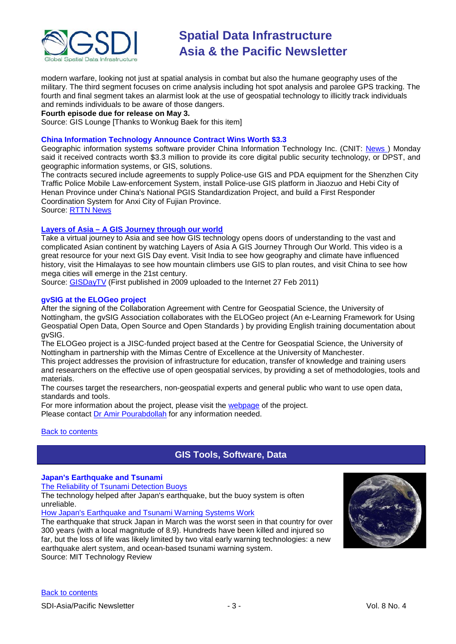

modern warfare, looking not just at spatial analysis in combat but also the humane geography uses of the military. The third segment focuses on crime analysis including hot spot analysis and parolee GPS tracking. The fourth and final segment takes an alarmist look at the use of geospatial technology to illicitly track individuals and reminds individuals to be aware of those dangers.

**Fourth episode due for release on May 3.**

Source: GIS Lounge [Thanks to Wonkug Baek for this item]

#### **China Information Technology Announce Contract Wins Worth \$3.3**

Geographic information systems software provider China Information Technology Inc. (CNIT: News) Monday said it received contracts worth \$3.3 million to provide its core digital public security technology, or DPST, and geographic information systems, or GIS, solutions.

The contracts secured include agreements to supply Police-use GIS and PDA equipment for the Shenzhen City Traffic Police Mobile Law-enforcement System, install Police-use GIS platform in Jiaozuo and Hebi City of Henan Province under China's National PGIS Standardization Project, and build a First Responder Coordination System for Anxi City of Fujian Province. Source: [RTTN News](http://www.rttnews.com/Content/QuickFacts.aspx?Node=B1&Id=1584606)

**Layers of Asia – [A GIS Journey through our world](http://wn.com/Layers_of_Asia_A_GIS_Journey_Through_our_World)**

Take a virtual journey to Asia and see how GIS technology opens doors of understanding to the vast and complicated Asian continent by watching Layers of Asia A GIS Journey Through Our World. This video is a great resource for your next GIS Day event. Visit India to see how geography and climate have influenced history, visit the Himalayas to see how mountain climbers use GIS to plan routes, and visit China to see how mega cities will emerge in the 21st century.

Source: [GISDayTV](http://wn.com/Layers_of_Asia_A_GIS_Journey_Through_our_World) (First published in 2009 uploaded to the Internet 27 Feb 2011)

#### **gvSIG at the ELOGeo project**

After the signing of the Collaboration Agreement with Centre for Geospatial Science, the University of Nottingham, the gvSIG Association collaborates with the ELOGeo project (An e-Learning Framework for Using Geospatial Open Data, Open Source and Open Standards ) by providing English training documentation about gvSIG.

The ELOGeo project is a JISC-funded project based at the Centre for Geospatial Science, the University of Nottingham in partnership with the Mimas Centre of Excellence at the University of Manchester.

This project addresses the provision of infrastructure for education, transfer of knowledge and training users and researchers on the effective use of open geospatial services, by providing a set of methodologies, tools and materials.

The courses target the researchers, non-geospatial experts and general public who want to use open data, standards and tools.

For more information about the project, please visit the [webpage](http://cgs.nottingham.ac.uk/~elogeo) of the project. Please contact [Dr Amir Pourabdollah](mailto:amir.pourabdollah@nottingham.ac.uk) for any information needed.

#### <span id="page-2-0"></span>[Back to contents](#page-0-0)

# **GIS Tools, Software, Data**

#### **Japan's Earthquake and Tsunami**

[The Reliability of Tsunami Detection Buoys](http://www.technologyreview.com/blog/editors/26507/?nlid=4233)

The technology helped after Japan's earthquake, but the buoy system is often unreliable.

[How Japan's Earthquake and Tsunami Warning Systems Work](http://www.technologyreview.com/blog/editors/26505/?nlid=4233)

The earthquake that struck Japan in March was the worst seen in that country for over 300 years (with a local magnitude of 8.9). Hundreds have been killed and injured so far, but the loss of life was likely limited by two vital early warning technologies: a new earthquake alert system, and ocean-based tsunami warning system. Source: MIT Technology Review

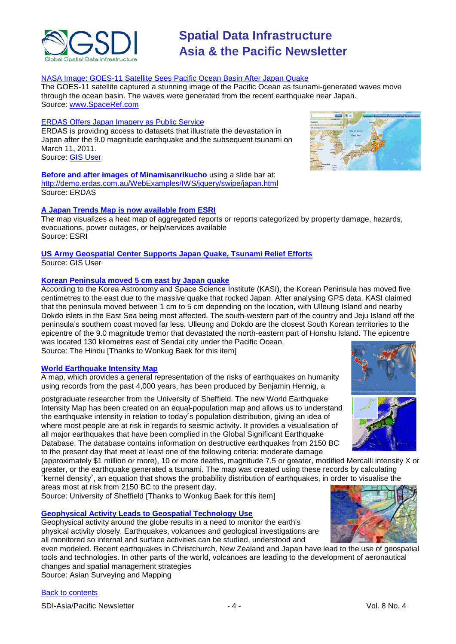

#### NASA [Image: GOES-11 Satellite Sees Pacific Ocean Basin After Japan Quake](http://www.spaceref.com/news/viewsr.html?pid=36396)

The GOES-11 satellite captured a stunning image of the Pacific Ocean as tsunami-generated waves move through the ocean basin. The waves were generated from the recent earthquake near Japan. Source: [www.SpaceRef.com](http://www.spaceref.com/)

#### ERDAS Offers Japan Imagery as Public Service

ERDAS is providing access to datasets that illustrate the devastation in Japan after the 9.0 magnitude earthquake and the subsequent tsunami on March 11, 2011. Source: [GIS User](http://www.gisuser.com/content/view/22949/2/)

**Before and after images of Minamisanrikucho** using a slide bar at: <http://demo.erdas.com.au/WebExamples/IWS/jquery/swipe/japan.html> Source: ERDAS

### **[A Japan Trends Map is now available from ESRI](http://www.esri.com/services/disaster-response/japan-earthquake-tsunami-2011-map/trends-map.html)**

The map visualizes a heat map of aggregated reports or reports categorized by property damage, hazards, evacuations, power outages, or help/services available Source: ESRI

#### **[US Army Geospatial Center Supports Japan Quake, Tsunami Relief Efforts](http://www.gisuser.com/content/view/23039/2/)** Source: GIS User

#### **[Korean Peninsula moved 5 cm east by Japan quake](http://www.thehindu.com/sci-tech/science/article1543144.ece)**

According to the Korea Astronomy and Space Science Institute (KASI), the Korean Peninsula has moved five centimetres to the east due to the massive quake that rocked Japan. After analysing GPS data, KASI claimed that the peninsula moved between 1 cm to 5 cm depending on the location, with Ulleung Island and nearby Dokdo islets in the East Sea being most affected. The south-western part of the country and Jeju Island off the peninsula's southern coast moved far less. Ulleung and Dokdo are the closest South Korean territories to the epicentre of the 9.0 magnitude tremor that devastated the north-eastern part of Honshu Island. The epicentre was located 130 kilometres east of Sendai city under the Pacific Ocean.

Source: The Hindu [Thanks to Wonkug Baek for this item]

#### **[World Earthquake Intensity Map](http://www.shef.ac.uk/mediacentre/2011/1858-earthquake-map-risk-population.html)**

A map, which provides a general representation of the risks of earthquakes on humanity using records from the past 4,000 years, has been produced by Benjamin Hennig, a

postgraduate researcher from the University of Sheffield. The new World Earthquake Intensity Map has been created on an equal-population map and allows us to understand the earthquake intensity in relation to today´s population distribution, giving an idea of where most people are at risk in regards to seismic activity. It provides a visualisation of all major earthquakes that have been complied in the Global Significant Earthquake Database. The database contains information on destructive earthquakes from 2150 BC to the present day that meet at least one of the following criteria: moderate damage

(approximately \$1 million or more), 10 or more deaths, magnitude 7.5 or greater, modified Mercalli intensity X or greater, or the earthquake generated a tsunami. The map was created using these records by calculating `kernel density´, an equation that shows the probability distribution of earthquakes, in order to visualise the areas most at risk from 2150 BC to the present day.

Source: University of Sheffield [Thanks to Wonkug Baek for this item]

#### **[Geophysical Activity Leads to Geospatial Technology Use](http://www.asmmag.com/features/feature/geophysical-activity-leads-to-geospatial-technology-use-2403947)**

Geophysical activity around the globe results in a need to monitor the earth's physical activity closely. Earthquakes, volcanoes and geological investigations are all monitored so internal and surface activities can be studied, understood and

even modeled. Recent earthquakes in Christchurch, New Zealand and Japan have lead to the use of geospatial tools and technologies. In other parts of the world, volcanoes are leading to the development of aeronautical changes and spatial management strategies

Source: Asian Surveying and Mapping





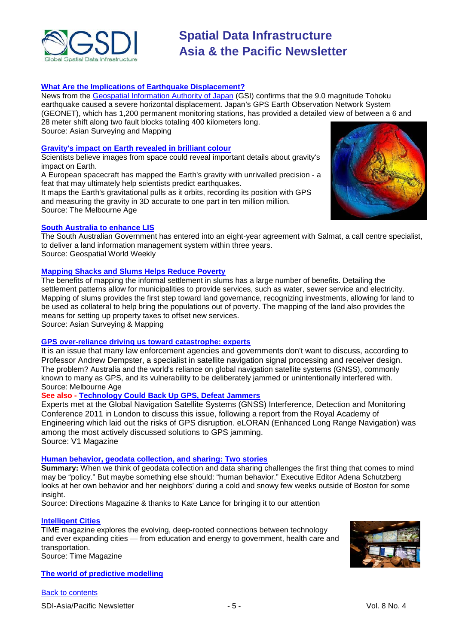

### **[What Are the Implications of Earthquake Displacement?](http://www.asmmag.com/features/feature/what-are-the-implications-of-earthquake-displacement-1703901)**

News from the Geospatial [Information Authority of Japan](http://www.gsi.go.jp/cais/topic110313-index-e.html) (GSI) confirms that the 9.0 magnitude Tohoku earthquake caused a severe horizontal displacement. Japan's GPS Earth Observation Network System (GEONET), which has 1,200 permanent monitoring stations, has provided a detailed view of between a 6 and 28 meter shift along two fault blocks totaling 400 kilometers long. Source: Asian Surveying and Mapping

#### **[Gravity's impact on Earth revealed in brilliant colour](http://www.theage.com.au/technology/sci-tech/gravitys-impact-on-earth-revealed-in-brilliant-colour-20110401-1cnxb.html)**

Scientists believe images from space could reveal important details about gravity's impact on Earth.

A European spacecraft has mapped the Earth's gravity with unrivalled precision - a feat that may ultimately help scientists predict earthquakes.

It maps the Earth's gravitational pulls as it orbits, recording its position with GPS and measuring the gravity in 3D accurate to one part in ten million million. Source: The Melbourne Age



#### **[South Australia to enhance LIS](http://geospatialworld.net/index.php?option=com_content&view=article&id=21912%3Asouth-australia-to-enhance-lis&catid=58%3Aapplication-lis&Itemid=1)**

The South Australian Government has entered into an eight-year agreement with Salmat, a call centre specialist, to deliver a land information management system within three years. Source: Geospatial World Weekly

### **[Mapping Shacks and Slums Helps Reduce Poverty](http://www.asmmag.com/features/feature/mapping-shacks-and-slums-aids-poverty-reduction-0303794)**

The benefits of mapping the informal settlement in slums has a large number of benefits. Detailing the settlement patterns allow for municipalities to provide services, such as water, sewer service and electricity. Mapping of slums provides the first step toward land governance, recognizing investments, allowing for land to be used as collateral to help bring the populations out of poverty. The mapping of the land also provides the means for setting up property taxes to offset new services.

Source: Asian Surveying & Mapping

### **[GPS over-reliance driving us toward catastrophe: experts](http://www.theage.com.au/technology/sci-tech/gps-overreliance-driving-us-toward-catastrophe-experts-20110311-1bqhl.html)**

It is an issue that many law enforcement agencies and governments don't want to discuss, according to Professor Andrew Dempster, a specialist in satellite navigation signal processing and receiver design. The problem? Australia and the world's reliance on global navigation satellite systems (GNSS), commonly known to many as GPS, and its vulnerability to be deliberately jammed or unintentionally interfered with. Source: Melbourne Age

#### **See also - [Technology Could Back Up GPS, Defeat Jammers](http://www.vector1media.com/news/headlines/19068-technology-could-back-up-gps-defeat-jammers.html)**

Experts met at the Global Navigation Satellite Systems (GNSS) Interference, Detection and Monitoring Conference 2011 in London to discuss this issue, following a report from the [Royal Academy of](http://www.ibtimes.com/articles/120664/20110309/gps-gnss-navigation-systems-satellites-royal-academy-of-engineering.htm)  [Engineering](http://www.ibtimes.com/articles/120664/20110309/gps-gnss-navigation-systems-satellites-royal-academy-of-engineering.htm) which laid out the risks of GPS disruption. eLORAN (Enhanced Long Range Navigation) was among the most actively discussed solutions to GPS jamming. Source: V1 Magazine

#### **[Human behavior, geodata collection, and sharing: Two stories](http://www.directionsmag.com/articles/human-behavior-geodata-collection-and-sharing-two-stories/151805)**

**Summary:** When we think of geodata collection and data sharing challenges the first thing that comes to mind may be "policy." But maybe something else should: "human behavior." Executive Editor Adena Schutzberg looks at her own behavior and her neighbors' during a cold and snowy few weeks outside of Boston for some insight.

Source: Directions Magazine & thanks to Kate Lance for bringing it to our attention

#### **[Intelligent Cities](http://www.time.com/time/specials/packages/0,28757,2026474,00.html)**

TIME magazine explores the evolving, deep-rooted connections between technology and ever expanding cities — from education and energy to government, health care and transportation. Source: Time Magazine

**[The world of predictive modelling](http://www.abc.net.au/rn/futuretense/stories/2011/3159468.htm#transcript)**

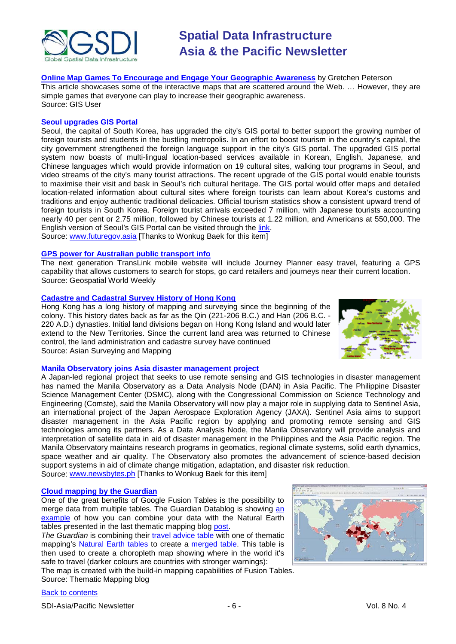

**[Online Map Games To Encourage and Engage Your Geographic Awareness](http://www.gisuser.com/content/view/23043/222/)** by Gretchen Peterson This article showcases some of the interactive maps that are scattered around the Web. … However, they are simple games that everyone can play to increase their geographic awareness. Source: GIS User

#### **Seoul upgrades GIS Portal**

Seoul, the capital of South Korea, has upgraded the city's GIS portal to better support the growing number of foreign tourists and students in the bustling metropolis. In an effort to boost tourism in the country's capital, the city government strengthened the foreign language support in the city's GIS portal. The upgraded GIS portal system now boasts of multi-lingual location-based services available in Korean, English, Japanese, and Chinese languages which would provide information on 19 cultural sites, walking tour programs in Seoul, and video streams of the city's many tourist attractions. The recent upgrade of the GIS portal would enable tourists to maximise their visit and bask in Seoul's rich cultural heritage. The GIS portal would offer maps and detailed location-related information about cultural sites where foreign tourists can learn about Korea's customs and traditions and enjoy authentic traditional delicacies. Official tourism statistics show a consistent upward trend of foreign tourists in South Korea. Foreign tourist arrivals exceeded 7 million, with Japanese tourists accounting nearly 40 per cent or 2.75 million, followed by Chinese tourists at 1.22 million, and Americans at 550,000. The English version of Seoul's GIS Portal can be visited through the [link.](http://gis.seoul.go.kr/SeoulGis/EnglishMap.html) Source: [www.futuregov.asia](http://www.futuregov.asia/) [Thanks to Wonkug Baek for this item]

#### **[GPS power for Australian public transport info](http://geospatialworld.net/index.php?option=com_content&view=article&id=21876%3Agps-power-for-australian-public-transport-info&catid=61%3Aapplication-transportation-navigation&Itemid=1)**

The next generation TransLink mobile website will include Journey Planner easy travel, featuring a GPS capability that allows customers to search for stops, go card retailers and journeys near their current location. Source: Geospatial World Weekly

#### **[Cadastre and Cadastral Survey History of Hong Kong](http://www.asmmag.com/features/feature/cadastre-and-cadastral-survey-history-of-hong-kong-1703902)**

Hong Kong has a long history of mapping and surveying since the beginning of the colony. This history dates back as far as the Qin (221-206 B.C.) and Han (206 B.C. - 220 A.D.) dynasties. Initial land divisions began on Hong Kong Island and would later extend to the New Territories. Since the current land area was returned to Chinese control, the land administration and cadastre survey have continued Source: Asian Surveying and Mapping



#### **Manila Observatory joins Asia disaster management project**

A Japan-led regional project that seeks to use remote sensing and GIS technologies in disaster management has named the Manila Observatory as a Data Analysis Node (DAN) in Asia Pacific. The Philippine Disaster Science Management Center (DSMC), along with the Congressional Commission on Science Technology and Engineering (Comste), said the Manila Observatory will now play a major role in supplying data to Sentinel Asia, an international project of the Japan Aerospace Exploration Agency (JAXA). Sentinel Asia aims to support disaster management in the Asia Pacific region by applying and promoting remote sensing and GIS technologies among its partners. As a Data Analysis Node, the Manila Observatory will provide analysis and interpretation of satellite data in aid of disaster management in the Philippines and the Asia Pacific region. The Manila Observatory maintains research programs in geomatics, regional climate systems, solid earth dynamics, space weather and air quality. The Observatory also promotes the advancement of science-based decision support systems in aid of climate change mitigation, adaptation, and disaster risk reduction. Source: [www.newsbytes.ph](http://www.newsbytes.ph/) [Thanks to Wonkug Baek for this item]

#### **[Cloud mapping by the Guardian](http://blog.thematicmapping.org/2011/03/guardian-is-using-natural-earth-vectors.html?utm_source=feedburner&utm_medium=email&utm_campaign=Feed%3A+thematicmapping+%28thematic+mapping+blog%29)**

One of the great benefits of Google Fusion Tables is the possibility to merge data from multiple tables. The Guardian Datablog is showing [an](http://www.guardian.co.uk/news/datablog/2011/mar/23/fco-travel-advice-map)  [example](http://www.guardian.co.uk/news/datablog/2011/mar/23/fco-travel-advice-map) of how you can combine your data with the Natural Earth tables presented in the last thematic mapping blog [post.](http://blog.thematicmapping.org/2011/02/natural-earth-vectors-in-cloud.html)

The Guardian is combining their **travel advice table** with one of thematic mapping's [Natural Earth tables](http://www.google.com/fusiontables/DataSource?dsrcid=424206) to create a [merged table.](http://www.google.com/fusiontables/DataSource?dsrcid=605610) This table is then used to create a choropleth map showing where in the world it's safe to travel (darker colours are countries with stronger warnings):

The map is created with the build-in mapping capabilities of Fusion Tables. Source: Thematic Mapping blog



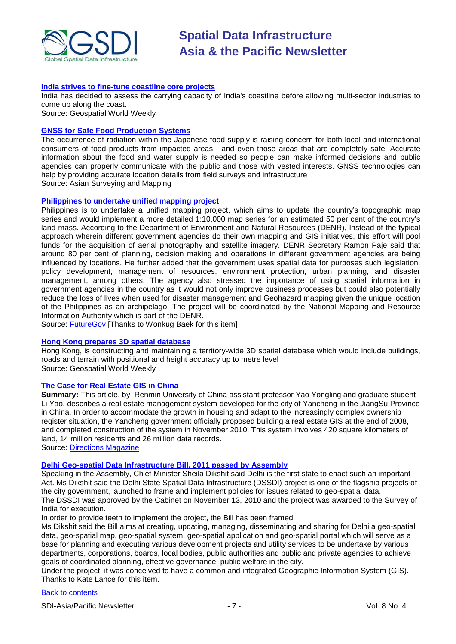

#### **[India strives to fine-tune coastline core projects](http://geospatialworld.net/index.php?option=com_content&view=article&id=21871%3Aindia-strives-to-fine-tune-coastline-core-projects&catid=52%3Aapplication-natural-resource-management&Itemid=1)**

India has decided to assess the carrying capacity of India's coastline before allowing multi-sector industries to come up along the coast.

Source: Geospatial World Weekly

#### **[GNSS for Safe Food Production Systems](http://www.asmmag.com/features/feature/gnss-for-safe-food-production-systems-2403948)**

The occurrence of radiation within the Japanese food supply is raising concern for both local and international consumers of food products from impacted areas - and even those areas that are completely safe. Accurate information about the food and water supply is needed so people can make informed decisions and public agencies can properly communicate with the public and those with vested interests. GNSS technologies can help by providing accurate location details from field surveys and infrastructure Source: Asian Surveying and Mapping

#### **Philippines to undertake unified mapping project**

Philippines is to undertake a unified mapping project, which aims to update the country's topographic map series and would implement a more detailed 1:10,000 map series for an estimated 50 per cent of the country's land mass. According to the Department of Environment and Natural Resources (DENR), Instead of the typical approach wherein different government agencies do their own mapping and GIS initiatives, this effort will pool funds for the acquisition of aerial photography and satellite imagery. DENR Secretary Ramon Paje said that around 80 per cent of planning, decision making and operations in different government agencies are being influenced by locations. He further added that the government uses spatial data for purposes such legislation, policy development, management of resources, environment protection, urban planning, and disaster management, among others. The agency also stressed the importance of using spatial information in government agencies in the country as it would not only improve business processes but could also potentially reduce the loss of lives when used for disaster management and Geohazard mapping given the unique location of the Philippines as an archipelago. The project will be coordinated by the National Mapping and Resource Information Authority which is part of the DENR.

Source: [FutureGov](http://www.futuregov.asia/articles/2011/mar/16/philippines-undertake-unified-mapping-project/) [Thanks to Wonkug Baek for this item]

#### **[Hong Kong prepares 3D spatial database](http://geospatialworld.net/index.php?option=com_content&view=article&id=21897%3Ahong-kong-prepares-3d-spatial-database&catid=49%3Aproduct-data&Itemid=1)**

Hong Kong, is constructing and maintaining a territory-wide 3D spatial database which would include buildings, roads and terrain with positional and height accuracy up to metre level Source: Geospatial World Weekly

#### **The Case for Real Estate GIS in China**

**Summary:** This article, by Renmin University of China assistant professor Yao Yongling and graduate student Li Yao, describes a real estate management system developed for the city of Yancheng in the JiangSu Province in China. In order to accommodate the growth in housing and adapt to the increasingly complex ownership register situation, the Yancheng government officially proposed building a real estate GIS at the end of 2008, and completed construction of the system in November 2010. This system involves 420 square kilometers of land, 14 million residents and 26 million data records.

Source: [Directions Magazine](http://www.directionsmag.com/articles/the-case-for-real-estate-gis-in-china/170371)

#### **[Delhi Geo-spatial Data Infrastructure Bill, 2011 passed by Assembly](http://www.newkerala.com/news/world/fullnews-174615.html)**

Speaking in the Assembly, Chief Minister Sheila Dikshit said Delhi is the first state to enact such an important Act. Ms Dikshit said the Delhi State Spatial Data Infrastructure (DSSDI) project is one of the flagship projects of the city government, launched to frame and implement policies for issues related to geo-spatial data. The DSSDI was approved by the Cabinet on November 13, 2010 and the project was awarded to the Survey of India for execution.

In order to provide teeth to implement the project, the Bill has been framed.

Ms Dikshit said the Bill aims at creating, updating, managing, disseminating and sharing for Delhi a geo-spatial data, geo-spatial map, geo-spatial system, geo-spatial application and geo-spatial portal which will serve as a base for planning and executing various development projects and utility services to be undertake by various departments, corporations, boards, local bodies, public authorities and public and private agencies to achieve goals of coordinated planning, effective governance, public welfare in the city.

Under the project, it was conceived to have a common and integrated Geographic Information System (GIS). Thanks to Kate Lance for this item.

#### [Back to contents](#page-0-0)

SDI-Asia/Pacific Newsletter  $\overline{7}$  - 7 -  $\overline{7}$  -  $\overline{7}$  -  $\overline{9}$  Vol. 8 No. 4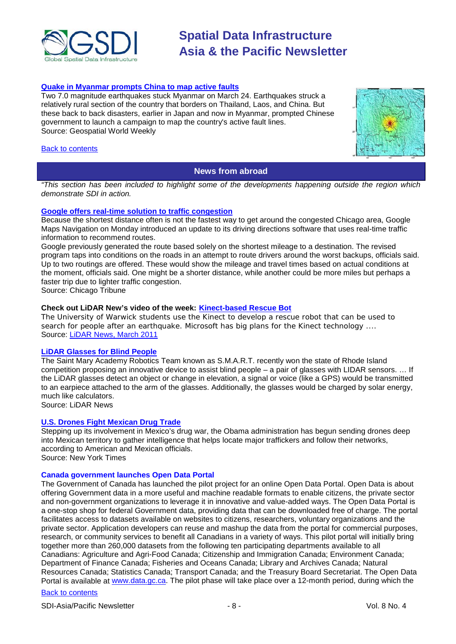

#### **[Quake in Myanmar prompts China to map active faults](http://geospatialworld.net/index.php?option=com_content&view=article&id=21917%3Aquake-in-myanmar-prompts-china-to-map-active-faults&catid=53%3Aapplication-natural-hazard-management&Itemid=1)**

Two 7.0 magnitude earthquakes stuck Myanmar on March 24. Earthquakes struck a relatively rural section of the country that borders on Thailand, Laos, and China. But these back to back disasters, earlier in Japan and now in Myanmar, prompted Chinese government to launch a campaign to map the country's active fault lines. Source: Geospatial World Weekly

#### <span id="page-7-0"></span>[Back to contents](#page-0-0)



#### **News from abroad**

*"This section has been included to highlight some of the developments happening outside the region which demonstrate SDI in action.*

#### **[Google offers real-time solution to traffic congestion](http://www.chicagotribune.com/news/local/breaking/chibrknews-google-maps-offers-realtime-solution-to-traffic-congestion-20110307,0,675242.story)**

Because the shortest distance often is not the fastest way to get around the congested Chicago area, Google Maps Navigation on Monday introduced an update to its driving directions software that uses real-time traffic information to recommend routes.

Google previously generated the route based solely on the shortest mileage to a destination. The revised program taps into conditions on the roads in an attempt to route drivers around the worst backups, officials said. Up to two routings are offered. These would show the mileage and travel times based on actual conditions at the moment, officials said. One might be a shorter distance, while another could be more miles but perhaps a faster trip due to lighter traffic congestion.

Source: Chicago Tribune

#### **Check out LiDAR New's video of the week: [Kinect-based Rescue Bot](http://www.lidarnews.com/content/view/8278/)**

The University of Warwick students use the Kinect to develop a rescue robot that can be used to search for people after an earthquake. Microsoft has big plans for the Kinect technology .... Source: [LiDAR News, March 2011](http://www.lidarnews.com/newsletter/Vol1No5.htm)

#### **[LiDAR Glasses for Blind People](http://blog.lidarnews.com/lidar-glasses-for-blind-people)**

The Saint Mary Academy Robotics Team known as S.M.A.R.T. recently won the state of Rhode Island competition proposing an innovative device to assist blind people – a pair of glasses with LIDAR sensors. … If the LiDAR glasses detect an object or change in elevation, a signal or voice (like a GPS) would be transmitted to an earpiece attached to the arm of the glasses. Additionally, the glasses would be charged by solar energy, much like calculators.

Source: LiDAR News

### **[U.S. Drones Fight Mexican Drug Trade](http://www.nytimes.com/2011/03/16/world/americas/16drug.html?_r=2&partner=rss&emc=rss)**

Stepping up its involvement in [Mexico'](http://topics.nytimes.com/top/news/international/countriesandterritories/mexico/index.html?inline=nyt-geo)s [drug war,](http://topics.nytimes.com/top/news/international/countriesandterritories/mexico/drug_trafficking/index.html?inline=nyt-classifier) the Obama administration has begun sending drones deep into Mexican territory to gather intelligence that helps locate major traffickers and follow their networks, according to American and Mexican officials. Source: New York Times

### **Canada government launches Open Data Portal**

The Government of Canada has launched the pilot project for an online Open Data Portal. Open Data is about offering Government data in a more useful and machine readable formats to enable citizens, the private sector and non-government organizations to leverage it in innovative and value-added ways. The Open Data Portal is a one-stop shop for federal Government data, providing data that can be downloaded free of charge. The portal facilitates access to datasets available on websites to citizens, researchers, voluntary organizations and the private sector. Application developers can reuse and mashup the data from the portal for commercial purposes, research, or community services to benefit all Canadians in a variety of ways. This pilot portal will initially bring together more than 260,000 datasets from the following ten participating departments available to all Canadians: Agriculture and Agri-Food Canada; Citizenship and Immigration Canada; Environment Canada; Department of Finance Canada; Fisheries and Oceans Canada; Library and Archives Canada; Natural Resources Canada; Statistics Canada; Transport Canada; and the Treasury Board Secretariat. The Open Data Portal is available at [www.data.gc.ca.](http://www.data.gc.ca/) The pilot phase will take place over a 12-month period, during which the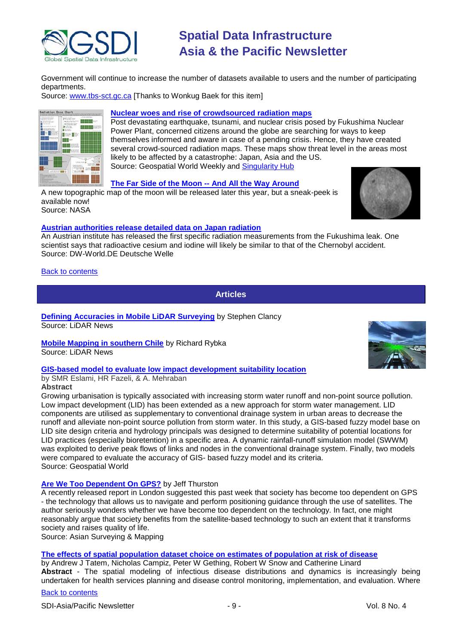

Government will continue to increase the number of datasets available to users and the number of participating departments.

Source: [www.tbs-sct.gc.ca](http://www.tbs-sct.gc.ca/) [Thanks to Wonkug Baek for this item]



#### **[Nuclear woes and rise of crowdsourced radiation maps](http://geospatialworld.net/index.php?option=com_content&view=article&id=21909%3Anuclear-woes-and-rise-of-crowdsourced-radiation-maps&catid=53%3Aapplication-natural-hazard-management&Itemid=1)**

Post devastating earthquake, tsunami, and nuclear crisis posed by [Fukushima Nuclear](http://geospatialworld.net/index.php?option=com_content&view=article&id=21813%3Aearthquake-triggers-nuclear-emergency&catid=53%3Aapplication-natural-hazard-management&Itemid=1)  [Power Plant,](http://geospatialworld.net/index.php?option=com_content&view=article&id=21813%3Aearthquake-triggers-nuclear-emergency&catid=53%3Aapplication-natural-hazard-management&Itemid=1) concerned citizens around the globe are searching for ways to keep themselves informed and aware in case of a pending crisis. Hence, they have created several crowd-sourced radiation maps. These maps show threat level in the areas most likely to be affected by a catastrophe: Japan, Asia and the US. Source: Geospatial World Weekly and [Singularity Hub](http://singularityhub.com/2011/03/24/japans-nuclear-woes-give-rise-to-crowd-sourced-radiation-maps-in-asia-and-us/)

#### **[The Far Side of the Moon --](http://www.nasa.gov/mission_pages/LRO/news/lro-farside.html) And All the Way Around**

A new topographic map of the moon will be released later this year, but a sneak-peek is available now! Source: NASA

#### **[Austrian authorities release detailed data on Japan radiation](http://www.dw-world.de/dw/article/0,,14938445,00.html)**

An Austrian institute has released the first specific radiation measurements from the Fukushima leak. One scientist says that radioactive cesium and iodine will likely be similar to that of the Chernobyl accident. Source: DW-World.DE Deutsche Welle

#### <span id="page-8-0"></span>**[Back to contents](#page-0-0)**

**Articles**

**[Defining Accuracies in Mobile LiDAR Surveying](http://www.lidarnews.com/content/view/8281/136)** by Stephen Clancy Source: LiDAR News

**[Mobile Mapping in southern Chile](http://www.lidarnews.com/content/view/8280/136)** by Richard Rybka Source: LiDAR News

#### **GIS-based model to evaluate [low impact development suitability location](http://geospatialworld.net/index.php?option=com_content&view=article&id=21767%3Agis-based-fuzzy-model-to-evaluate-low-impact-development-suitability-location&catid=161%3Aurban-planning-emerging-technologies&Itemid=41)**

by SMR Eslami, HR Fazeli, & A. Mehraban **Abstract**

Growing urbanisation is typically associated with increasing storm water runoff and non-point source pollution. Low impact development (LID) has been extended as a new approach for storm water management. LID components are utilised as supplementary to conventional drainage system in urban areas to decrease the runoff and alleviate non-point source pollution from storm water. In this study, a GIS-based fuzzy model base on LID site design criteria and hydrology principals was designed to determine suitability of potential locations for LID practices (especially bioretention) in a specific area. A dynamic rainfall-runoff simulation model (SWWM) was exploited to derive peak flows of links and nodes in the conventional drainage system. Finally, two models were compared to evaluate the accuracy of GIS- based fuzzy model and its criteria. Source: Geospatial World

#### **[Are We Too Dependent On GPS?](http://www.asmmag.com/features/feature/are-we-too-dependent-on-gps-1003837)** by Jeff Thurston

A recently released report in London suggested this past week that society has become too dependent on GPS - the technology that allows us to navigate and perform positioning guidance through the use of satellites. The author seriously wonders whether we have become too dependent on the technology. In fact, one might reasonably argue that society benefits from the satellite-based technology to such an extent that it transforms society and raises quality of life.

Source: Asian Surveying & Mapping

#### **[The effects of spatial population dataset choice on estimates of population at risk of disease](http://www.pophealthmetrics.com/content/9/1/4)**

by Andrew J Tatem, Nicholas Campiz, Peter W Gething, Robert W Snow and Catherine Linard **Abstract** - The spatial modeling of infectious disease distributions and dynamics is increasingly being undertaken for health services planning and disease control monitoring, implementation, and evaluation. Where



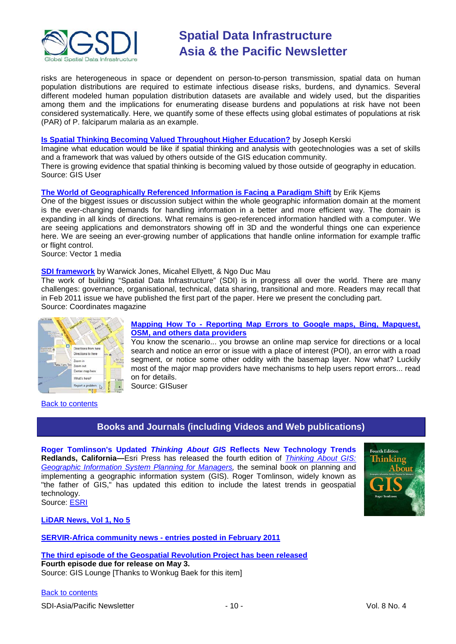

risks are heterogeneous in space or dependent on person-to-person transmission, spatial data on human population distributions are required to estimate infectious disease risks, burdens, and dynamics. Several different modeled human population distribution datasets are available and widely used, but the disparities among them and the implications for enumerating disease burdens and populations at risk have not been considered systematically. Here, we quantify some of these effects using global estimates of populations at risk (PAR) of P. falciparum malaria as an example.

#### **[Is Spatial Thinking Becoming Valued Throughout Higher Education?](http://www.gisuser.com/content/view/22983/222/)** by Joseph Kerski

Imagine what education would be like if spatial thinking and analysis with geotechnologies was a set of skills and a framework that was valued by others outside of the GIS education community. There is growing evidence that spatial thinking is becoming valued by those outside of geography in education.

Source: GIS User

#### **[The World of Geographically Referenced Information is Facing a Paradigm Shift](http://www.vector1media.com/article/features/19186-the-world-of-geographically-referenced-information-is-facing-a-paradigm-shift.html)** by Erik Kjems

One of the biggest issues or discussion subject within the whole geographic information domain at the moment is the ever-changing demands for handling information in a better and more efficient way. The domain is expanding in all kinds of directions. What remains is geo-referenced information handled with a computer. We are seeing applications and demonstrators showing off in 3D and the wonderful things one can experience here. We are seeing an ever-growing number of applications that handle online information for example traffic or flight control.

Source: Vector 1 media

#### **[SDI framework](http://mycoordinates.org/sdi-framework-2/)** by Warwick Jones, Micahel Ellyett, & Ngo Duc Mau

The work of building "Spatial Data Infrastructure" (SDI) is in progress all over the world. There are many challenges: governance, organisational, technical, data sharing, transitional and more. Readers may recall that in Feb 2011 issue we have published the first part of the paper. Here we present the concluding part. Source: Coordinates magazine



<span id="page-9-0"></span>[Back to contents](#page-0-0)

#### **Mapping How To - [Reporting Map Errors to Google maps, Bing, Mapquest,](http://www.gisuser.com/content/view/23066/222/)  [OSM, and others data providers](http://www.gisuser.com/content/view/23066/222/)**

You know the scenario... you browse an online map service for directions or a local search and notice an error or issue with a place of interest (POI), an error with a road segment, or notice some other oddity with the basemap layer. Now what? Luckily most of the major map providers have mechanisms to help users report errors... read on for details.

Source: GISuser

# **Books and Journals (including Videos and Web publications)**

**Roger Tomlinson's Updated** *Thinking About GIS* **Reflects New Technology Trends Redlands, California—**Esri Press has released the fourth edition of *[Thinking About GIS:](http://esripress.esri.com/display/index.cfm?fuseaction=display&websiteID=197&moduleID=0)  [Geographic Information System Planning for Managers,](http://esripress.esri.com/display/index.cfm?fuseaction=display&websiteID=197&moduleID=0)* the seminal book on planning and implementing a geographic information system (GIS). Roger Tomlinson, widely known as "the father of GIS," has updated this edition to include the latest trends in geospatial technology. Source: [ESRI](http://www.esri.com/news/releases/11-1qtr/roger-tomlinsons-updated-thinking-about-gis-reflects-new-technology-trends.html)



**[LiDAR News, Vol 1, No 5](http://www.lidarnews.com/newsletter/Vol1No5.htm)**

#### **[SERVIR-Africa community news -](http://www.servir.net/africa/index.php?option=com_mamblog&Itemid=54&task=show&action=all&id=0&ignorecount=1) entries posted in February 2011**

**[The third episode of the Geospatial Revolution Project has been released](http://geospatialrevolution.psu.edu/episode3/complete) Fourth episode due for release on May 3.** Source: GIS Lounge [Thanks to Wonkug Baek for this item]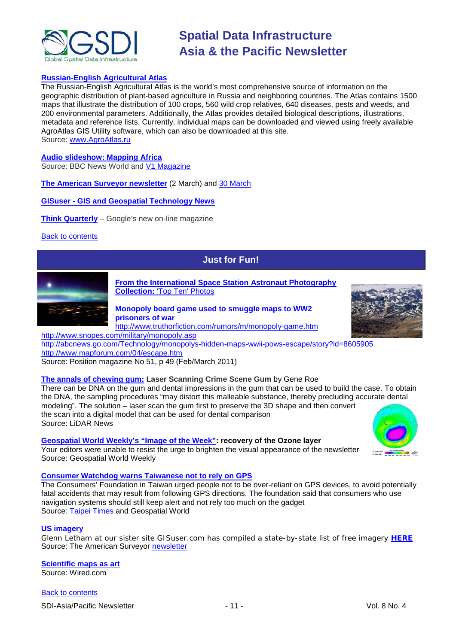

#### **[Russian-English Agricultural Atlas](http://www.agroatlas.ru/)**

The Russian-English Agricultural Atlas is the world's most comprehensive source of information on the geographic distribution of plant-based agriculture in Russia and neighboring countries. The Atlas contains 1500 maps that illustrate the distribution of 100 crops, 560 wild crop relatives, 640 diseases, pests and weeds, and 200 environmental parameters. Additionally, the Atlas provides detailed biological descriptions, illustrations, metadata and reference lists. Currently, individual maps can be downloaded and viewed using freely available AgroAtlas GIS Utility software, which can also be downloaded at this site. Source: [www.AgroAtlas.ru](http://www.agroatlas.ru/)

#### **[Audio slideshow: Mapping Africa](http://www.bbc.co.uk/news/world-12675464)**

Source: BBC News World and [V1 Magazine](http://www.vector1media.com/news/headlines/19073-audio-slideshow-mapping-africa.html)

**[The American Surveyor newsletter](http://www.amerisurv.com/newsletter/02MAR2011.htm)** (2 March) and [30 March](http://www.amerisurv.com/newsletter/30MAR2011.htm)

**GISuser - [GIS and Geospatial Technology News](http://www.gisuser.com/)**

**[Think Quarterly](http://thinkquarterly.co.uk/#aboutthebook)** – Google's new on-line magazine

<span id="page-10-0"></span>[Back to contents](#page-0-0)

# **Just for Fun!**



**[From the International Space Station Astronaut Photography](http://www.nasa.gov/mission_pages/station/expeditions/expedition17/earthday_imgs.html)  Collection:** ['Top Ten' Photos](http://www.nasa.gov/mission_pages/station/expeditions/expedition17/earthday_imgs.html)

### **Monopoly board game used to smuggle maps to WW2 prisoners of war**

<http://www.truthorfiction.com/rumors/m/monopoly-game.htm> <http://www.snopes.com/military/monopoly.asp>

<http://abcnews.go.com/Technology/monopolys-hidden-maps-wwii-pows-escape/story?id=8605905> <http://www.mapforum.com/04/escape.htm>

Source: Position magazine No 51, p 49 (Feb/March 2011)

**[The annals of chewing gum:](http://www.lidarnews.com/content/view/8286/) Laser Scanning Crime Scene Gum** by Gene Roe

There can be DNA on the gum and dental impressions in the gum that can be used to build the case. To obtain the DNA, the sampling procedures "may distort this malleable substance, thereby precluding accurate dental modeling". The solution – laser scan the gum first to preserve the 3D shape and then convert the scan into a digital model that can be used for dental comparison Source: LiDAR News

**[Geospatial World Weekly's "Image of the Week":](http://www.geospatialworld.net/index.php?option=com_imageoftheweek&view=managetemplate&id=22&Itemid=139&year=2011) recovery of the Ozone layer**

Your editors were unable to resist the urge to brighten the visual appearance of the newsletter Source: Geospatial World Weekly

#### **[Consumer Watchdog warns Taiwanese not to rely on GPS](http://www.geospatialworld.net/index.php?option=com_content&view=article&id=21752%3Awatchdog-warns-taiwanese-not-to-rely-on-gps&catid=66%3Aapplication-miscellaneous&Itemid=1)**

The Consumers' Foundation in Taiwan urged people not to be over-reliant on GPS devices, to avoid potentially fatal accidents that may result from following GPS directions. The foundation said that consumers who use navigation systems should still keep alert and not rely too much on the gadget Source: [Taipei Times](http://www.taipeitimes.com/News/taiwan/archives/2011/03/03/2003497249) and Geospatial World

#### **US imagery**

Glenn Letham at our sister site GISuser.com has compiled a state-by-state list of free imagery **[HERE](http://www.gisuser.com/content/view/16966/)** Source: The American Surveyor [newsletter](http://www.amerisurv.com/newsletter/02MAR2011.htm)

**[Scientific maps as art](http://www.wired.com/wiredscience/2011/03/best-science-maps/?pid=1051&viewall=true)** Source: Wired.com

[Back to contents](#page-0-0)

SDI-Asia/Pacific Newsletter  $\sim$  11 - 11 - Vol. 8 No. 4



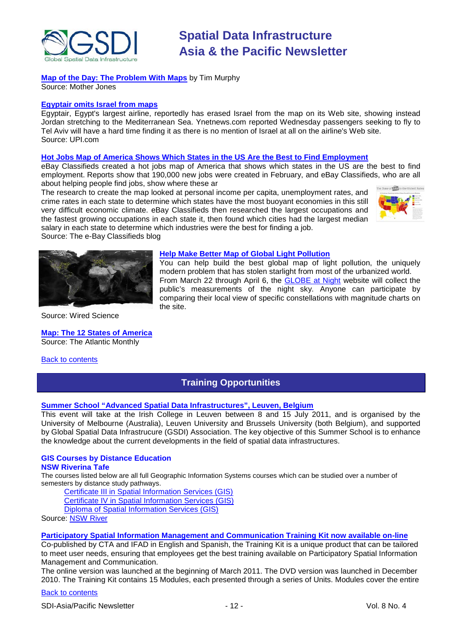

### **[Map of the Day: The Problem With Maps](http://motherjones.com/mixed-media/2011/03/map-day-problem-maps)** by Tim Murphy

Source: Mother Jones

#### **[Egyptair omits Israel from maps](http://www.upi.com/Top_News/World-News/2011/03/23/Egyptair-omits-Israel-from-maps/UPI-17541300883274/)**

Egyptair, Egypt's largest airline, reportedly has erased Israel from the map on its Web site, showing instead Jordan stretching to the Mediterranean Sea. Ynetnews.com reported Wednesday passengers seeking to fly to Tel Aviv will have a hard time finding it as there is no mention of Israel at all on the airline's Web site. Source: UPI.com

#### **[Hot Jobs Map of America Shows Which States in the US Are the Best to Find Employment](http://blog.ebayclassifieds.com/2011/03/17/state-of-jobs/)**

eBay Classifieds created a hot jobs map of America that shows which states in the US are the best to find employment. Reports show that 190,000 new jobs were created in February, and eBay Classifieds, who are all about helping people find jobs, show where these ar

The research to create the map looked at personal income per capita, unemployment rates, and crime rates in each state to determine which states have the most buoyant economies in this still very difficult economic climate. eBay Classifieds then researched the largest occupations and the fastest growing occupations in each state it, then found which cities had the largest median salary in each state to determine which industries were the best for finding a job. Source: The e-Bay Classifieds blog





Source: Wired Science

**[Map: The 12 States of America](http://www.theatlantic.com/misc/the-12-states-of-america/)** Source: The Atlantic Monthly

<span id="page-11-0"></span>[Back to contents](#page-0-0)

#### **[Help Make Better Map of Global Light Pollution](http://www.wired.com/wiredscience/2011/03/light-pollution-map/)**

You can help build the best global map of light pollution, the uniquely modern problem that has stolen starlight from most of the urbanized world. From March 22 through April 6, the [GLOBE at Night](http://www.globeatnight.org/) website will collect the public's measurements of the night sky. Anyone can participate by comparing their local view of specific constellations with magnitude charts on the site.

# **Training Opportunities**

#### **[Summer School "Advanced Spatial Data Infrastructures", Leuven, Belgium](http://www.spatialist.be/201101-school/index.ht)**

This event will take at the Irish College in Leuven between 8 and 15 July 2011, and is organised by the University of Melbourne (Australia), Leuven University and Brussels University (both Belgium), and supported by Global Spatial Data Infrastrucure (GSDI) Association. The key objective of this Summer School is to enhance the knowledge about the current developments in the field of spatial data infrastructures.

#### **GIS Courses by Distance Education NSW Riverina Tafe**

The courses listed below are all full Geographic Information Systems courses which can be studied over a number of semesters by distance study pathways.

[Certificate III in Spatial Information Services \(GIS\)](http://www.rit.tafensw.edu.au/nec/nrme/giscourses#Cert III in Spatial Information Services (CPP30109)) [Certificate IV in Spatial Information Services \(GIS\)](http://www.rit.tafensw.edu.au/nec/nrme/giscourses#Cert IV in Spatial Information Services (CPP40209))

[Diploma of Spatial Information Services \(GIS\)](http://www.rit.tafensw.edu.au/nec/nrme/giscourses#Diploma of Spatial Information Services (CPP50207))

Sourc[e: NSW River](http://www.rit.tafensw.edu.au/nec/nrme/giscourses)

#### **[Participatory Spatial Information Management and Communication Training Kit now available on-line](http://www.cta.int/en/About-us/CTA-news/Participatory-Spatial-Information-Management-and-Communication-Training-Kit-now-available-on-line)**

Co-published by CTA and IFAD in English and Spanish, the Training Kit is a unique product that can be tailored to meet user needs, ensuring that employees get the best training available on Participatory Spatial Information Management and Communication.

The [online version](http://pgis-tk.cta.int/) was launched at the beginning of March 2011. The DVD version was launched in December 2010. The Training Kit contains 15 Modules, each presented through a series of Units. Modules cover the entire

#### [Back to contents](#page-0-0)

SDI-Asia/Pacific Newsletter  $\sim$  12 - 12 - Vol. 8 No. 4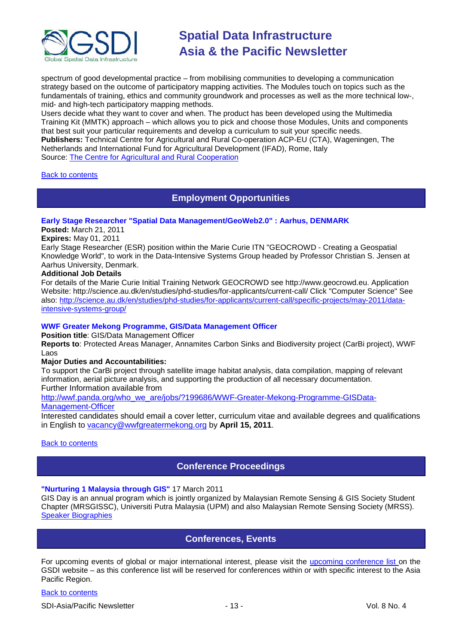

spectrum of good developmental practice – from mobilising communities to developing a communication strategy based on the outcome of participatory mapping activities. The Modules touch on topics such as the fundamentals of training, ethics and community groundwork and processes as well as the more technical low-, mid- and high-tech participatory mapping methods.

Users decide what they want to cover and when. The product has been developed using the Multimedia Training Kit (MMTK) approach – which allows you to pick and choose those Modules, Units and components that best suit your particular requirements and develop a curriculum to suit your specific needs. **Publishers:** Technical Centre for Agricultural and Rural Co-operation ACP-EU (CTA), Wageningen, The Netherlands and International Fund for Agricultural Development (IFAD), Rome, Italy Source: [The Centre for Agricultural and Rural Cooperation](http://www.cta.int/en/About-us/Who-we-are)

#### <span id="page-12-0"></span>[Back to contents](#page-0-0)

### **Employment Opportunities**

#### **Early Stage Researcher "Spatial Data Management/GeoWeb2.0" : Aarhus, DENMARK**

# **Posted:** March 21, 2011

#### **Expires:** May 01, 2011

Early Stage Researcher (ESR) position within the Marie Curie ITN "GEOCROWD - Creating a Geospatial Knowledge World", to work in the Data-Intensive Systems Group headed by Professor Christian S. Jensen at Aarhus University, Denmark.

#### **Additional Job Details**

For details of the Marie Curie Initial Training Network GEOCROWD see http://www.geocrowd.eu. Application Website: http://science.au.dk/en/studies/phd-studies/for-applicants/current-call/ Click "Computer Science" See also: [http://science.au.dk/en/studies/phd-studies/for-applicants/current-call/specific-projects/may-2011/data](http://science.au.dk/en/studies/phd-studies/for-applicants/current-call/specific-projects/may-2011/data-intensive-systems-group/)[intensive-systems-group/](http://science.au.dk/en/studies/phd-studies/for-applicants/current-call/specific-projects/may-2011/data-intensive-systems-group/)

#### **WWF Greater Mekong Programme, GIS/Data Management Officer**

**Position title**: GIS/Data Management Officer

**Reports to**: Protected Areas Manager, Annamites Carbon Sinks and Biodiversity project (CarBi project), WWF Laos

#### **Major Duties and Accountabilities:**

To support the CarBi project through satellite image habitat analysis, data compilation, mapping of relevant information, aerial picture analysis, and supporting the production of all necessary documentation. Further Information available from

[http://wwf.panda.org/who\\_we\\_are/jobs/?199686/WWF-Greater-Mekong-Programme-GISData-](http://wwf.panda.org/who_we_are/jobs/?199686/WWF-Greater-Mekong-Programme-GISData-Management-Officer)

#### [Management-Officer](http://wwf.panda.org/who_we_are/jobs/?199686/WWF-Greater-Mekong-Programme-GISData-Management-Officer)

Interested candidates should email a cover letter, curriculum vitae and available degrees and qualifications in English to [vacancy@wwfgreatermekong.org](mailto:vacancy@wwfgreatermekong.org) by **April 15, 2011**.

#### <span id="page-12-1"></span>**[Back to contents](#page-0-0)**

### **Conference Proceedings**

#### **"Nurturing 1 Malaysia through GIS"** 17 March 2011

GIS Day is an annual program which is jointly organized by Malaysian Remote Sensing & GIS Society Student Chapter (MRSGISSC), Universiti Putra Malaysia (UPM) and also Malaysian Remote Sensing Society (MRSS). [Speaker Biographies](https://sites.google.com/site/upmgisday2011/tentatives/speakers-biography)

### **Conferences, Events**

<span id="page-12-2"></span>For upcoming events of global or major international interest, please visit the [upcoming conference list o](http://gsdi.org/events/upcnf.asp)n the GSDI website – as this conference list will be reserved for conferences within or with specific interest to the Asia Pacific Region.

#### [Back to contents](#page-0-0)

SDI-Asia/Pacific Newsletter  $\sim$  13 - 13 - Vol. 8 No. 4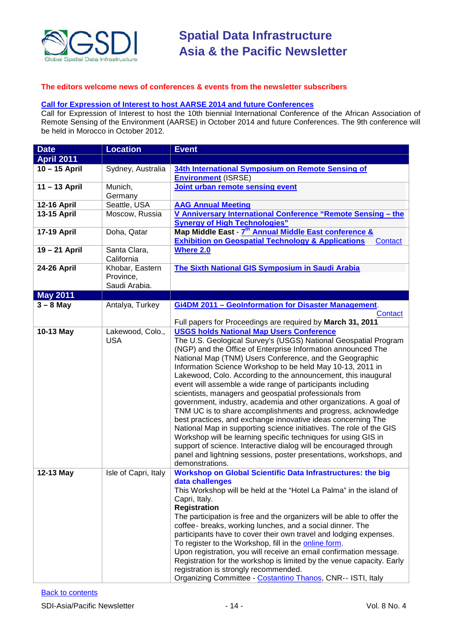

#### **The editors welcome news of conferences & events from the newsletter subscribers**

### **[Call for Expression of Interest to host AARSE 2014 and future Conferences](http://lists.gsdi.org/pipermail/sdi-africa/2010-November/001135.html)**

Call for Expression of Interest to host the 10th biennial International Conference of the African Association of Remote Sensing of the Environment (AARSE) in October 2014 and future Conferences. The 9th conference will be held in Morocco in October 2012.

| <b>Date</b>        | <b>Location</b>                               | <b>Event</b>                                                                                                                                                                                                                                                                                                                                                                                                                                                                                                                                                                                                                                                                                                                                                                                                                                                                                                                                                                                                     |  |
|--------------------|-----------------------------------------------|------------------------------------------------------------------------------------------------------------------------------------------------------------------------------------------------------------------------------------------------------------------------------------------------------------------------------------------------------------------------------------------------------------------------------------------------------------------------------------------------------------------------------------------------------------------------------------------------------------------------------------------------------------------------------------------------------------------------------------------------------------------------------------------------------------------------------------------------------------------------------------------------------------------------------------------------------------------------------------------------------------------|--|
| <b>April 2011</b>  |                                               |                                                                                                                                                                                                                                                                                                                                                                                                                                                                                                                                                                                                                                                                                                                                                                                                                                                                                                                                                                                                                  |  |
| 10 - 15 April      | Sydney, Australia                             | 34th International Symposium on Remote Sensing of<br><b>Environment (ISRSE)</b>                                                                                                                                                                                                                                                                                                                                                                                                                                                                                                                                                                                                                                                                                                                                                                                                                                                                                                                                  |  |
| 11-13 April        | Munich,<br>Germany                            | Joint urban remote sensing event                                                                                                                                                                                                                                                                                                                                                                                                                                                                                                                                                                                                                                                                                                                                                                                                                                                                                                                                                                                 |  |
| <b>12-16 April</b> | Seattle, USA                                  | <b>AAG Annual Meeting</b>                                                                                                                                                                                                                                                                                                                                                                                                                                                                                                                                                                                                                                                                                                                                                                                                                                                                                                                                                                                        |  |
| 13-15 April        | Moscow, Russia                                | V Anniversary International Conference "Remote Sensing - the<br><b>Synergy of High Technologies"</b>                                                                                                                                                                                                                                                                                                                                                                                                                                                                                                                                                                                                                                                                                                                                                                                                                                                                                                             |  |
| <b>17-19 April</b> | Doha, Qatar                                   | Map Middle East - 7 <sup>th</sup> Annual Middle East conference &<br><b>Exhibition on Geospatial Technology &amp; Applications</b><br>Contact                                                                                                                                                                                                                                                                                                                                                                                                                                                                                                                                                                                                                                                                                                                                                                                                                                                                    |  |
| 19-21 April        | Santa Clara,<br>California                    | <b>Where 2.0</b>                                                                                                                                                                                                                                                                                                                                                                                                                                                                                                                                                                                                                                                                                                                                                                                                                                                                                                                                                                                                 |  |
| <b>24-26 April</b> | Khobar, Eastern<br>Province,<br>Saudi Arabia. | <b>The Sixth National GIS Symposium in Saudi Arabia</b>                                                                                                                                                                                                                                                                                                                                                                                                                                                                                                                                                                                                                                                                                                                                                                                                                                                                                                                                                          |  |
| <b>May 2011</b>    |                                               |                                                                                                                                                                                                                                                                                                                                                                                                                                                                                                                                                                                                                                                                                                                                                                                                                                                                                                                                                                                                                  |  |
| $3 - 8$ May        | Antalya, Turkey                               | Gi4DM 2011 - Geolnformation for Disaster Management.<br>Contact<br>Full papers for Proceedings are required by March 31, 2011                                                                                                                                                                                                                                                                                                                                                                                                                                                                                                                                                                                                                                                                                                                                                                                                                                                                                    |  |
| 10-13 May          | Lakewood, Colo.,<br><b>USA</b>                | <b>USGS holds National Map Users Conference</b><br>The U.S. Geological Survey's (USGS) National Geospatial Program<br>(NGP) and the Office of Enterprise Information announced The<br>National Map (TNM) Users Conference, and the Geographic<br>Information Science Workshop to be held May 10-13, 2011 in<br>Lakewood, Colo. According to the announcement, this inaugural<br>event will assemble a wide range of participants including<br>scientists, managers and geospatial professionals from<br>government, industry, academia and other organizations. A goal of<br>TNM UC is to share accomplishments and progress, acknowledge<br>best practices, and exchange innovative ideas concerning The<br>National Map in supporting science initiatives. The role of the GIS<br>Workshop will be learning specific techniques for using GIS in<br>support of science. Interactive dialog will be encouraged through<br>panel and lightning sessions, poster presentations, workshops, and<br>demonstrations. |  |
| 12-13 May          | Isle of Capri, Italy                          | <b>Workshop on Global Scientific Data Infrastructures: the big</b><br>data challenges<br>This Workshop will be held at the "Hotel La Palma" in the island of<br>Capri, Italy.<br><b>Registration</b><br>The participation is free and the organizers will be able to offer the<br>coffee- breaks, working lunches, and a social dinner. The<br>participants have to cover their own travel and lodging expenses.<br>To register to the Workshop, fill in the online form.<br>Upon registration, you will receive an email confirmation message.<br>Registration for the workshop is limited by the venue capacity. Early<br>registration is strongly recommended.<br>Organizing Committee - Costantino Thanos, CNR-- ISTI, Italy                                                                                                                                                                                                                                                                                 |  |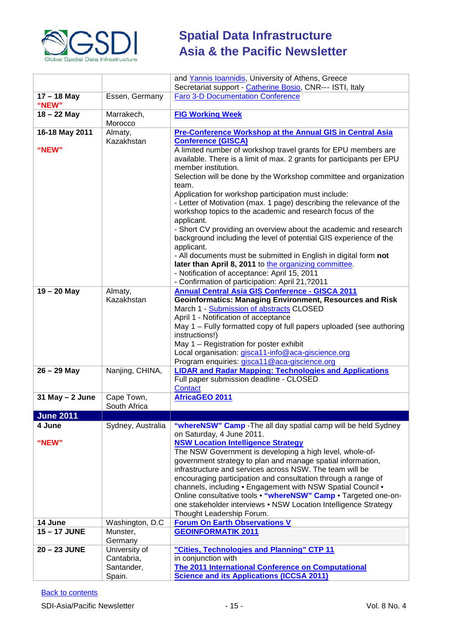

|                      |                                                     | and Yannis Ioannidis, University of Athens, Greece                                                                                                                                                                                                                                                                                                                                                                                                                                                                                                                                                                                                                                                                                                                                                                       |  |  |
|----------------------|-----------------------------------------------------|--------------------------------------------------------------------------------------------------------------------------------------------------------------------------------------------------------------------------------------------------------------------------------------------------------------------------------------------------------------------------------------------------------------------------------------------------------------------------------------------------------------------------------------------------------------------------------------------------------------------------------------------------------------------------------------------------------------------------------------------------------------------------------------------------------------------------|--|--|
|                      |                                                     | Secretariat support - Catherine Bosio, CNR--- ISTI, Italy                                                                                                                                                                                                                                                                                                                                                                                                                                                                                                                                                                                                                                                                                                                                                                |  |  |
| 17 – 18 May<br>"NEW" | Essen, Germany                                      | <b>Faro 3-D Documentation Conference</b>                                                                                                                                                                                                                                                                                                                                                                                                                                                                                                                                                                                                                                                                                                                                                                                 |  |  |
| $18 - 22$ May        | Marrakech,<br>Morocco                               | <b>FIG Working Week</b>                                                                                                                                                                                                                                                                                                                                                                                                                                                                                                                                                                                                                                                                                                                                                                                                  |  |  |
| 16-18 May 2011       | Almaty,                                             | <b>Pre-Conference Workshop at the Annual GIS in Central Asia</b>                                                                                                                                                                                                                                                                                                                                                                                                                                                                                                                                                                                                                                                                                                                                                         |  |  |
| "NEW"                | Kazakhstan                                          | <b>Conference (GISCA)</b><br>A limited number of workshop travel grants for EPU members are<br>available. There is a limit of max. 2 grants for participants per EPU<br>member institution.<br>Selection will be done by the Workshop committee and organization<br>team.<br>Application for workshop participation must include:<br>- Letter of Motivation (max. 1 page) describing the relevance of the<br>workshop topics to the academic and research focus of the<br>applicant.<br>- Short CV providing an overview about the academic and research<br>background including the level of potential GIS experience of the<br>applicant.<br>- All documents must be submitted in English in digital form not<br>later than April 8, 2011 to the organizing committee.<br>- Notification of acceptance: April 15, 2011 |  |  |
|                      |                                                     | - Confirmation of participation: April 21,?2011                                                                                                                                                                                                                                                                                                                                                                                                                                                                                                                                                                                                                                                                                                                                                                          |  |  |
| $19 - 20$ May        | Almaty,<br>Kazakhstan                               | <b>Annual Central Asia GIS Conference - GISCA 2011</b><br><b>Geoinformatics: Managing Environment, Resources and Risk</b><br>March 1 - Submission of abstracts CLOSED<br>April 1 - Notification of acceptance<br>May 1 - Fully formatted copy of full papers uploaded (see authoring<br>instructions!)<br>May 1 - Registration for poster exhibit<br>Local organisation: gisca11-info@aca-giscience.org<br>Program enquiries: gisca11@aca-giscience.org                                                                                                                                                                                                                                                                                                                                                                  |  |  |
| $26 - 29$ May        | Nanjing, CHINA,                                     | <b>LIDAR and Radar Mapping: Technologies and Applications</b><br>Full paper submission deadline - CLOSED<br>Contact                                                                                                                                                                                                                                                                                                                                                                                                                                                                                                                                                                                                                                                                                                      |  |  |
| $31$ May $- 2$ June  | Cape Town,<br>South Africa                          | AfricaGEO 2011                                                                                                                                                                                                                                                                                                                                                                                                                                                                                                                                                                                                                                                                                                                                                                                                           |  |  |
| <b>June 2011</b>     |                                                     |                                                                                                                                                                                                                                                                                                                                                                                                                                                                                                                                                                                                                                                                                                                                                                                                                          |  |  |
| 4 June               | Sydney, Australia                                   | "whereNSW" Camp - The all day spatial camp will be held Sydney                                                                                                                                                                                                                                                                                                                                                                                                                                                                                                                                                                                                                                                                                                                                                           |  |  |
| "NEW"                |                                                     | on Saturday, 4 June 2011.<br><b>NSW Location Intelligence Strategy</b><br>The NSW Government is developing a high level, whole-of-<br>government strategy to plan and manage spatial information,<br>infrastructure and services across NSW. The team will be<br>encouraging participation and consultation through a range of<br>channels, including . Engagement with NSW Spatial Council .<br>Online consultative tools . "whereNSW" Camp . Targeted one-on-<br>one stakeholder interviews • NSW Location Intelligence Strategy<br>Thought Leadership Forum.                                                                                                                                                                                                                                                          |  |  |
| 14 June              | Washington, D.C                                     | <b>Forum On Earth Observations V</b>                                                                                                                                                                                                                                                                                                                                                                                                                                                                                                                                                                                                                                                                                                                                                                                     |  |  |
| 15-17 JUNE           | Munster,<br>Germany                                 | <b>GEOINFORMATIK 2011</b>                                                                                                                                                                                                                                                                                                                                                                                                                                                                                                                                                                                                                                                                                                                                                                                                |  |  |
| 20 - 23 JUNE         | University of<br>Cantabria,<br>Santander,<br>Spain. | "Cities, Technologies and Planning" CTP 11<br>in conjunction with<br>The 2011 International Conference on Computational<br><b>Science and its Applications (ICCSA 2011)</b>                                                                                                                                                                                                                                                                                                                                                                                                                                                                                                                                                                                                                                              |  |  |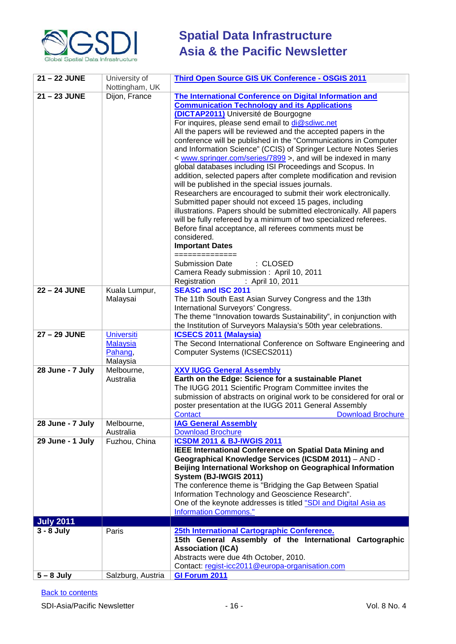

| Nottingham, UK<br>21-23 JUNE<br>Dijon, France<br>The International Conference on Digital Information and<br><b>Communication Technology and its Applications</b><br>(DICTAP2011) Université de Bourgogne<br>For inquires, please send email to di@sdiwc.net<br>All the papers will be reviewed and the accepted papers in the<br>conference will be published in the "Communications in Computer<br>and Information Science" (CCIS) of Springer Lecture Notes Series<br>< www.springer.com/series/7899 >, and will be indexed in many<br>global databases including ISI Proceedings and Scopus. In<br>addition, selected papers after complete modification and revision<br>will be published in the special issues journals.<br>Researchers are encouraged to submit their work electronically.<br>Submitted paper should not exceed 15 pages, including<br>illustrations. Papers should be submitted electronically. All papers<br>will be fully refereed by a minimum of two specialized referees.<br>Before final acceptance, all referees comments must be<br>considered.<br><b>Important Dates</b><br>==============<br>: CLOSED<br><b>Submission Date</b><br>Camera Ready submission: April 10, 2011<br>Registration<br>: April 10, 2011<br><b>SEASC and ISC 2011</b><br>22 - 24 JUNE<br>Kuala Lumpur,<br>The 11th South East Asian Survey Congress and the 13th<br>Malaysai<br>International Surveyors' Congress.<br>The theme "Innovation towards Sustainability", in conjunction with<br>the Institution of Surveyors Malaysia's 50th year celebrations.<br>27 - 29 JUNE<br><b>Universiti</b><br><b>ICSECS 2011 (Malaysia)</b><br><b>Malaysia</b><br>The Second International Conference on Software Engineering and<br>Pahang,<br>Computer Systems (ICSECS2011)<br>Malaysia<br>28 June - 7 July<br>Melbourne,<br><b>XXV IUGG General Assembly</b><br>Earth on the Edge: Science for a sustainable Planet<br>Australia<br>The IUGG 2011 Scientific Program Committee invites the<br>submission of abstracts on original work to be considered for oral or<br>poster presentation at the IUGG 2011 General Assembly<br><b>Download Brochure</b><br>Contact<br>28 June - 7 July<br><b>IAG General Assembly</b><br>Melbourne,<br>Download Brochure<br>Australia<br><b>ICSDM 2011 &amp; BJ-IWGIS 2011</b><br>29 June - 1 July<br>Fuzhou, China<br><b>IEEE International Conference on Spatial Data Mining and</b><br>Geographical Knowledge Services (ICSDM 2011) - AND -<br>Beijing International Workshop on Geographical Information<br>System (BJ-IWGIS 2011)<br>The conference theme is "Bridging the Gap Between Spatial<br>Information Technology and Geoscience Research".<br>One of the keynote addresses is titled "SDI and Digital Asia as<br><b>Information Commons."</b><br><b>July 2011</b><br>$3 - 8$ July<br>Paris<br>25th International Cartographic Conference.<br>15th General Assembly of the International Cartographic<br><b>Association (ICA)</b><br>Abstracts were due 4th October, 2010. | 21-22 JUNE | University of | Third Open Source GIS UK Conference - OSGIS 2011 |  |  |
|-------------------------------------------------------------------------------------------------------------------------------------------------------------------------------------------------------------------------------------------------------------------------------------------------------------------------------------------------------------------------------------------------------------------------------------------------------------------------------------------------------------------------------------------------------------------------------------------------------------------------------------------------------------------------------------------------------------------------------------------------------------------------------------------------------------------------------------------------------------------------------------------------------------------------------------------------------------------------------------------------------------------------------------------------------------------------------------------------------------------------------------------------------------------------------------------------------------------------------------------------------------------------------------------------------------------------------------------------------------------------------------------------------------------------------------------------------------------------------------------------------------------------------------------------------------------------------------------------------------------------------------------------------------------------------------------------------------------------------------------------------------------------------------------------------------------------------------------------------------------------------------------------------------------------------------------------------------------------------------------------------------------------------------------------------------------------------------------------------------------------------------------------------------------------------------------------------------------------------------------------------------------------------------------------------------------------------------------------------------------------------------------------------------------------------------------------------------------------------------------------------------------------------------------------------------------------------------------------------------------------------------------------------------------------------------------------------------------------------------------------------------------------------------------------------------------------------------------------------------------------------------------------------------------------------------------------------------------------------------------------------------------------|------------|---------------|--------------------------------------------------|--|--|
|                                                                                                                                                                                                                                                                                                                                                                                                                                                                                                                                                                                                                                                                                                                                                                                                                                                                                                                                                                                                                                                                                                                                                                                                                                                                                                                                                                                                                                                                                                                                                                                                                                                                                                                                                                                                                                                                                                                                                                                                                                                                                                                                                                                                                                                                                                                                                                                                                                                                                                                                                                                                                                                                                                                                                                                                                                                                                                                                                                                                                         |            |               |                                                  |  |  |
|                                                                                                                                                                                                                                                                                                                                                                                                                                                                                                                                                                                                                                                                                                                                                                                                                                                                                                                                                                                                                                                                                                                                                                                                                                                                                                                                                                                                                                                                                                                                                                                                                                                                                                                                                                                                                                                                                                                                                                                                                                                                                                                                                                                                                                                                                                                                                                                                                                                                                                                                                                                                                                                                                                                                                                                                                                                                                                                                                                                                                         |            |               |                                                  |  |  |
|                                                                                                                                                                                                                                                                                                                                                                                                                                                                                                                                                                                                                                                                                                                                                                                                                                                                                                                                                                                                                                                                                                                                                                                                                                                                                                                                                                                                                                                                                                                                                                                                                                                                                                                                                                                                                                                                                                                                                                                                                                                                                                                                                                                                                                                                                                                                                                                                                                                                                                                                                                                                                                                                                                                                                                                                                                                                                                                                                                                                                         |            |               |                                                  |  |  |
|                                                                                                                                                                                                                                                                                                                                                                                                                                                                                                                                                                                                                                                                                                                                                                                                                                                                                                                                                                                                                                                                                                                                                                                                                                                                                                                                                                                                                                                                                                                                                                                                                                                                                                                                                                                                                                                                                                                                                                                                                                                                                                                                                                                                                                                                                                                                                                                                                                                                                                                                                                                                                                                                                                                                                                                                                                                                                                                                                                                                                         |            |               |                                                  |  |  |
|                                                                                                                                                                                                                                                                                                                                                                                                                                                                                                                                                                                                                                                                                                                                                                                                                                                                                                                                                                                                                                                                                                                                                                                                                                                                                                                                                                                                                                                                                                                                                                                                                                                                                                                                                                                                                                                                                                                                                                                                                                                                                                                                                                                                                                                                                                                                                                                                                                                                                                                                                                                                                                                                                                                                                                                                                                                                                                                                                                                                                         |            |               |                                                  |  |  |
|                                                                                                                                                                                                                                                                                                                                                                                                                                                                                                                                                                                                                                                                                                                                                                                                                                                                                                                                                                                                                                                                                                                                                                                                                                                                                                                                                                                                                                                                                                                                                                                                                                                                                                                                                                                                                                                                                                                                                                                                                                                                                                                                                                                                                                                                                                                                                                                                                                                                                                                                                                                                                                                                                                                                                                                                                                                                                                                                                                                                                         |            |               |                                                  |  |  |
|                                                                                                                                                                                                                                                                                                                                                                                                                                                                                                                                                                                                                                                                                                                                                                                                                                                                                                                                                                                                                                                                                                                                                                                                                                                                                                                                                                                                                                                                                                                                                                                                                                                                                                                                                                                                                                                                                                                                                                                                                                                                                                                                                                                                                                                                                                                                                                                                                                                                                                                                                                                                                                                                                                                                                                                                                                                                                                                                                                                                                         |            |               |                                                  |  |  |
|                                                                                                                                                                                                                                                                                                                                                                                                                                                                                                                                                                                                                                                                                                                                                                                                                                                                                                                                                                                                                                                                                                                                                                                                                                                                                                                                                                                                                                                                                                                                                                                                                                                                                                                                                                                                                                                                                                                                                                                                                                                                                                                                                                                                                                                                                                                                                                                                                                                                                                                                                                                                                                                                                                                                                                                                                                                                                                                                                                                                                         |            |               |                                                  |  |  |
|                                                                                                                                                                                                                                                                                                                                                                                                                                                                                                                                                                                                                                                                                                                                                                                                                                                                                                                                                                                                                                                                                                                                                                                                                                                                                                                                                                                                                                                                                                                                                                                                                                                                                                                                                                                                                                                                                                                                                                                                                                                                                                                                                                                                                                                                                                                                                                                                                                                                                                                                                                                                                                                                                                                                                                                                                                                                                                                                                                                                                         |            |               |                                                  |  |  |
|                                                                                                                                                                                                                                                                                                                                                                                                                                                                                                                                                                                                                                                                                                                                                                                                                                                                                                                                                                                                                                                                                                                                                                                                                                                                                                                                                                                                                                                                                                                                                                                                                                                                                                                                                                                                                                                                                                                                                                                                                                                                                                                                                                                                                                                                                                                                                                                                                                                                                                                                                                                                                                                                                                                                                                                                                                                                                                                                                                                                                         |            |               |                                                  |  |  |
|                                                                                                                                                                                                                                                                                                                                                                                                                                                                                                                                                                                                                                                                                                                                                                                                                                                                                                                                                                                                                                                                                                                                                                                                                                                                                                                                                                                                                                                                                                                                                                                                                                                                                                                                                                                                                                                                                                                                                                                                                                                                                                                                                                                                                                                                                                                                                                                                                                                                                                                                                                                                                                                                                                                                                                                                                                                                                                                                                                                                                         |            |               |                                                  |  |  |
|                                                                                                                                                                                                                                                                                                                                                                                                                                                                                                                                                                                                                                                                                                                                                                                                                                                                                                                                                                                                                                                                                                                                                                                                                                                                                                                                                                                                                                                                                                                                                                                                                                                                                                                                                                                                                                                                                                                                                                                                                                                                                                                                                                                                                                                                                                                                                                                                                                                                                                                                                                                                                                                                                                                                                                                                                                                                                                                                                                                                                         |            |               |                                                  |  |  |
|                                                                                                                                                                                                                                                                                                                                                                                                                                                                                                                                                                                                                                                                                                                                                                                                                                                                                                                                                                                                                                                                                                                                                                                                                                                                                                                                                                                                                                                                                                                                                                                                                                                                                                                                                                                                                                                                                                                                                                                                                                                                                                                                                                                                                                                                                                                                                                                                                                                                                                                                                                                                                                                                                                                                                                                                                                                                                                                                                                                                                         |            |               |                                                  |  |  |
|                                                                                                                                                                                                                                                                                                                                                                                                                                                                                                                                                                                                                                                                                                                                                                                                                                                                                                                                                                                                                                                                                                                                                                                                                                                                                                                                                                                                                                                                                                                                                                                                                                                                                                                                                                                                                                                                                                                                                                                                                                                                                                                                                                                                                                                                                                                                                                                                                                                                                                                                                                                                                                                                                                                                                                                                                                                                                                                                                                                                                         |            |               |                                                  |  |  |
|                                                                                                                                                                                                                                                                                                                                                                                                                                                                                                                                                                                                                                                                                                                                                                                                                                                                                                                                                                                                                                                                                                                                                                                                                                                                                                                                                                                                                                                                                                                                                                                                                                                                                                                                                                                                                                                                                                                                                                                                                                                                                                                                                                                                                                                                                                                                                                                                                                                                                                                                                                                                                                                                                                                                                                                                                                                                                                                                                                                                                         |            |               |                                                  |  |  |
|                                                                                                                                                                                                                                                                                                                                                                                                                                                                                                                                                                                                                                                                                                                                                                                                                                                                                                                                                                                                                                                                                                                                                                                                                                                                                                                                                                                                                                                                                                                                                                                                                                                                                                                                                                                                                                                                                                                                                                                                                                                                                                                                                                                                                                                                                                                                                                                                                                                                                                                                                                                                                                                                                                                                                                                                                                                                                                                                                                                                                         |            |               |                                                  |  |  |
|                                                                                                                                                                                                                                                                                                                                                                                                                                                                                                                                                                                                                                                                                                                                                                                                                                                                                                                                                                                                                                                                                                                                                                                                                                                                                                                                                                                                                                                                                                                                                                                                                                                                                                                                                                                                                                                                                                                                                                                                                                                                                                                                                                                                                                                                                                                                                                                                                                                                                                                                                                                                                                                                                                                                                                                                                                                                                                                                                                                                                         |            |               |                                                  |  |  |
|                                                                                                                                                                                                                                                                                                                                                                                                                                                                                                                                                                                                                                                                                                                                                                                                                                                                                                                                                                                                                                                                                                                                                                                                                                                                                                                                                                                                                                                                                                                                                                                                                                                                                                                                                                                                                                                                                                                                                                                                                                                                                                                                                                                                                                                                                                                                                                                                                                                                                                                                                                                                                                                                                                                                                                                                                                                                                                                                                                                                                         |            |               |                                                  |  |  |
|                                                                                                                                                                                                                                                                                                                                                                                                                                                                                                                                                                                                                                                                                                                                                                                                                                                                                                                                                                                                                                                                                                                                                                                                                                                                                                                                                                                                                                                                                                                                                                                                                                                                                                                                                                                                                                                                                                                                                                                                                                                                                                                                                                                                                                                                                                                                                                                                                                                                                                                                                                                                                                                                                                                                                                                                                                                                                                                                                                                                                         |            |               |                                                  |  |  |
|                                                                                                                                                                                                                                                                                                                                                                                                                                                                                                                                                                                                                                                                                                                                                                                                                                                                                                                                                                                                                                                                                                                                                                                                                                                                                                                                                                                                                                                                                                                                                                                                                                                                                                                                                                                                                                                                                                                                                                                                                                                                                                                                                                                                                                                                                                                                                                                                                                                                                                                                                                                                                                                                                                                                                                                                                                                                                                                                                                                                                         |            |               |                                                  |  |  |
|                                                                                                                                                                                                                                                                                                                                                                                                                                                                                                                                                                                                                                                                                                                                                                                                                                                                                                                                                                                                                                                                                                                                                                                                                                                                                                                                                                                                                                                                                                                                                                                                                                                                                                                                                                                                                                                                                                                                                                                                                                                                                                                                                                                                                                                                                                                                                                                                                                                                                                                                                                                                                                                                                                                                                                                                                                                                                                                                                                                                                         |            |               |                                                  |  |  |
|                                                                                                                                                                                                                                                                                                                                                                                                                                                                                                                                                                                                                                                                                                                                                                                                                                                                                                                                                                                                                                                                                                                                                                                                                                                                                                                                                                                                                                                                                                                                                                                                                                                                                                                                                                                                                                                                                                                                                                                                                                                                                                                                                                                                                                                                                                                                                                                                                                                                                                                                                                                                                                                                                                                                                                                                                                                                                                                                                                                                                         |            |               |                                                  |  |  |
|                                                                                                                                                                                                                                                                                                                                                                                                                                                                                                                                                                                                                                                                                                                                                                                                                                                                                                                                                                                                                                                                                                                                                                                                                                                                                                                                                                                                                                                                                                                                                                                                                                                                                                                                                                                                                                                                                                                                                                                                                                                                                                                                                                                                                                                                                                                                                                                                                                                                                                                                                                                                                                                                                                                                                                                                                                                                                                                                                                                                                         |            |               |                                                  |  |  |
|                                                                                                                                                                                                                                                                                                                                                                                                                                                                                                                                                                                                                                                                                                                                                                                                                                                                                                                                                                                                                                                                                                                                                                                                                                                                                                                                                                                                                                                                                                                                                                                                                                                                                                                                                                                                                                                                                                                                                                                                                                                                                                                                                                                                                                                                                                                                                                                                                                                                                                                                                                                                                                                                                                                                                                                                                                                                                                                                                                                                                         |            |               |                                                  |  |  |
|                                                                                                                                                                                                                                                                                                                                                                                                                                                                                                                                                                                                                                                                                                                                                                                                                                                                                                                                                                                                                                                                                                                                                                                                                                                                                                                                                                                                                                                                                                                                                                                                                                                                                                                                                                                                                                                                                                                                                                                                                                                                                                                                                                                                                                                                                                                                                                                                                                                                                                                                                                                                                                                                                                                                                                                                                                                                                                                                                                                                                         |            |               |                                                  |  |  |
|                                                                                                                                                                                                                                                                                                                                                                                                                                                                                                                                                                                                                                                                                                                                                                                                                                                                                                                                                                                                                                                                                                                                                                                                                                                                                                                                                                                                                                                                                                                                                                                                                                                                                                                                                                                                                                                                                                                                                                                                                                                                                                                                                                                                                                                                                                                                                                                                                                                                                                                                                                                                                                                                                                                                                                                                                                                                                                                                                                                                                         |            |               |                                                  |  |  |
|                                                                                                                                                                                                                                                                                                                                                                                                                                                                                                                                                                                                                                                                                                                                                                                                                                                                                                                                                                                                                                                                                                                                                                                                                                                                                                                                                                                                                                                                                                                                                                                                                                                                                                                                                                                                                                                                                                                                                                                                                                                                                                                                                                                                                                                                                                                                                                                                                                                                                                                                                                                                                                                                                                                                                                                                                                                                                                                                                                                                                         |            |               |                                                  |  |  |
|                                                                                                                                                                                                                                                                                                                                                                                                                                                                                                                                                                                                                                                                                                                                                                                                                                                                                                                                                                                                                                                                                                                                                                                                                                                                                                                                                                                                                                                                                                                                                                                                                                                                                                                                                                                                                                                                                                                                                                                                                                                                                                                                                                                                                                                                                                                                                                                                                                                                                                                                                                                                                                                                                                                                                                                                                                                                                                                                                                                                                         |            |               |                                                  |  |  |
|                                                                                                                                                                                                                                                                                                                                                                                                                                                                                                                                                                                                                                                                                                                                                                                                                                                                                                                                                                                                                                                                                                                                                                                                                                                                                                                                                                                                                                                                                                                                                                                                                                                                                                                                                                                                                                                                                                                                                                                                                                                                                                                                                                                                                                                                                                                                                                                                                                                                                                                                                                                                                                                                                                                                                                                                                                                                                                                                                                                                                         |            |               |                                                  |  |  |
|                                                                                                                                                                                                                                                                                                                                                                                                                                                                                                                                                                                                                                                                                                                                                                                                                                                                                                                                                                                                                                                                                                                                                                                                                                                                                                                                                                                                                                                                                                                                                                                                                                                                                                                                                                                                                                                                                                                                                                                                                                                                                                                                                                                                                                                                                                                                                                                                                                                                                                                                                                                                                                                                                                                                                                                                                                                                                                                                                                                                                         |            |               |                                                  |  |  |
|                                                                                                                                                                                                                                                                                                                                                                                                                                                                                                                                                                                                                                                                                                                                                                                                                                                                                                                                                                                                                                                                                                                                                                                                                                                                                                                                                                                                                                                                                                                                                                                                                                                                                                                                                                                                                                                                                                                                                                                                                                                                                                                                                                                                                                                                                                                                                                                                                                                                                                                                                                                                                                                                                                                                                                                                                                                                                                                                                                                                                         |            |               |                                                  |  |  |
|                                                                                                                                                                                                                                                                                                                                                                                                                                                                                                                                                                                                                                                                                                                                                                                                                                                                                                                                                                                                                                                                                                                                                                                                                                                                                                                                                                                                                                                                                                                                                                                                                                                                                                                                                                                                                                                                                                                                                                                                                                                                                                                                                                                                                                                                                                                                                                                                                                                                                                                                                                                                                                                                                                                                                                                                                                                                                                                                                                                                                         |            |               |                                                  |  |  |
|                                                                                                                                                                                                                                                                                                                                                                                                                                                                                                                                                                                                                                                                                                                                                                                                                                                                                                                                                                                                                                                                                                                                                                                                                                                                                                                                                                                                                                                                                                                                                                                                                                                                                                                                                                                                                                                                                                                                                                                                                                                                                                                                                                                                                                                                                                                                                                                                                                                                                                                                                                                                                                                                                                                                                                                                                                                                                                                                                                                                                         |            |               |                                                  |  |  |
|                                                                                                                                                                                                                                                                                                                                                                                                                                                                                                                                                                                                                                                                                                                                                                                                                                                                                                                                                                                                                                                                                                                                                                                                                                                                                                                                                                                                                                                                                                                                                                                                                                                                                                                                                                                                                                                                                                                                                                                                                                                                                                                                                                                                                                                                                                                                                                                                                                                                                                                                                                                                                                                                                                                                                                                                                                                                                                                                                                                                                         |            |               |                                                  |  |  |
|                                                                                                                                                                                                                                                                                                                                                                                                                                                                                                                                                                                                                                                                                                                                                                                                                                                                                                                                                                                                                                                                                                                                                                                                                                                                                                                                                                                                                                                                                                                                                                                                                                                                                                                                                                                                                                                                                                                                                                                                                                                                                                                                                                                                                                                                                                                                                                                                                                                                                                                                                                                                                                                                                                                                                                                                                                                                                                                                                                                                                         |            |               |                                                  |  |  |
|                                                                                                                                                                                                                                                                                                                                                                                                                                                                                                                                                                                                                                                                                                                                                                                                                                                                                                                                                                                                                                                                                                                                                                                                                                                                                                                                                                                                                                                                                                                                                                                                                                                                                                                                                                                                                                                                                                                                                                                                                                                                                                                                                                                                                                                                                                                                                                                                                                                                                                                                                                                                                                                                                                                                                                                                                                                                                                                                                                                                                         |            |               |                                                  |  |  |
|                                                                                                                                                                                                                                                                                                                                                                                                                                                                                                                                                                                                                                                                                                                                                                                                                                                                                                                                                                                                                                                                                                                                                                                                                                                                                                                                                                                                                                                                                                                                                                                                                                                                                                                                                                                                                                                                                                                                                                                                                                                                                                                                                                                                                                                                                                                                                                                                                                                                                                                                                                                                                                                                                                                                                                                                                                                                                                                                                                                                                         |            |               |                                                  |  |  |
|                                                                                                                                                                                                                                                                                                                                                                                                                                                                                                                                                                                                                                                                                                                                                                                                                                                                                                                                                                                                                                                                                                                                                                                                                                                                                                                                                                                                                                                                                                                                                                                                                                                                                                                                                                                                                                                                                                                                                                                                                                                                                                                                                                                                                                                                                                                                                                                                                                                                                                                                                                                                                                                                                                                                                                                                                                                                                                                                                                                                                         |            |               |                                                  |  |  |
|                                                                                                                                                                                                                                                                                                                                                                                                                                                                                                                                                                                                                                                                                                                                                                                                                                                                                                                                                                                                                                                                                                                                                                                                                                                                                                                                                                                                                                                                                                                                                                                                                                                                                                                                                                                                                                                                                                                                                                                                                                                                                                                                                                                                                                                                                                                                                                                                                                                                                                                                                                                                                                                                                                                                                                                                                                                                                                                                                                                                                         |            |               |                                                  |  |  |
|                                                                                                                                                                                                                                                                                                                                                                                                                                                                                                                                                                                                                                                                                                                                                                                                                                                                                                                                                                                                                                                                                                                                                                                                                                                                                                                                                                                                                                                                                                                                                                                                                                                                                                                                                                                                                                                                                                                                                                                                                                                                                                                                                                                                                                                                                                                                                                                                                                                                                                                                                                                                                                                                                                                                                                                                                                                                                                                                                                                                                         |            |               |                                                  |  |  |
|                                                                                                                                                                                                                                                                                                                                                                                                                                                                                                                                                                                                                                                                                                                                                                                                                                                                                                                                                                                                                                                                                                                                                                                                                                                                                                                                                                                                                                                                                                                                                                                                                                                                                                                                                                                                                                                                                                                                                                                                                                                                                                                                                                                                                                                                                                                                                                                                                                                                                                                                                                                                                                                                                                                                                                                                                                                                                                                                                                                                                         |            |               |                                                  |  |  |
|                                                                                                                                                                                                                                                                                                                                                                                                                                                                                                                                                                                                                                                                                                                                                                                                                                                                                                                                                                                                                                                                                                                                                                                                                                                                                                                                                                                                                                                                                                                                                                                                                                                                                                                                                                                                                                                                                                                                                                                                                                                                                                                                                                                                                                                                                                                                                                                                                                                                                                                                                                                                                                                                                                                                                                                                                                                                                                                                                                                                                         |            |               |                                                  |  |  |
|                                                                                                                                                                                                                                                                                                                                                                                                                                                                                                                                                                                                                                                                                                                                                                                                                                                                                                                                                                                                                                                                                                                                                                                                                                                                                                                                                                                                                                                                                                                                                                                                                                                                                                                                                                                                                                                                                                                                                                                                                                                                                                                                                                                                                                                                                                                                                                                                                                                                                                                                                                                                                                                                                                                                                                                                                                                                                                                                                                                                                         |            |               |                                                  |  |  |
|                                                                                                                                                                                                                                                                                                                                                                                                                                                                                                                                                                                                                                                                                                                                                                                                                                                                                                                                                                                                                                                                                                                                                                                                                                                                                                                                                                                                                                                                                                                                                                                                                                                                                                                                                                                                                                                                                                                                                                                                                                                                                                                                                                                                                                                                                                                                                                                                                                                                                                                                                                                                                                                                                                                                                                                                                                                                                                                                                                                                                         |            |               |                                                  |  |  |
|                                                                                                                                                                                                                                                                                                                                                                                                                                                                                                                                                                                                                                                                                                                                                                                                                                                                                                                                                                                                                                                                                                                                                                                                                                                                                                                                                                                                                                                                                                                                                                                                                                                                                                                                                                                                                                                                                                                                                                                                                                                                                                                                                                                                                                                                                                                                                                                                                                                                                                                                                                                                                                                                                                                                                                                                                                                                                                                                                                                                                         |            |               |                                                  |  |  |
| Contact: regist-icc2011@europa-organisation.com<br>GI Forum 2011<br>$5 - 8$ July<br>Salzburg, Austria                                                                                                                                                                                                                                                                                                                                                                                                                                                                                                                                                                                                                                                                                                                                                                                                                                                                                                                                                                                                                                                                                                                                                                                                                                                                                                                                                                                                                                                                                                                                                                                                                                                                                                                                                                                                                                                                                                                                                                                                                                                                                                                                                                                                                                                                                                                                                                                                                                                                                                                                                                                                                                                                                                                                                                                                                                                                                                                   |            |               |                                                  |  |  |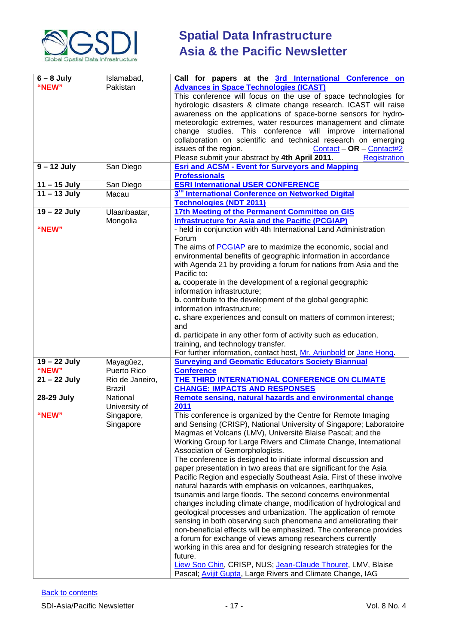

| $6 - 8$ July<br>"NEW" | Islamabad,<br>Pakistan           | Call for papers at the 3rd International Conference on<br><b>Advances in Space Technologies (ICAST)</b><br>This conference will focus on the use of space technologies for<br>hydrologic disasters & climate change research. ICAST will raise<br>awareness on the applications of space-borne sensors for hydro-<br>meteorologic extremes, water resources management and climate<br>change studies. This conference will improve international<br>collaboration on scientific and technical research on emerging<br>Contact - OR - Contact#2<br>issues of the region.<br>Please submit your abstract by 4th April 2011.<br><b>Registration</b>                                                                                                                                                                                                                                                                                                                                                                                                                                                                                                                                                                  |  |  |
|-----------------------|----------------------------------|-------------------------------------------------------------------------------------------------------------------------------------------------------------------------------------------------------------------------------------------------------------------------------------------------------------------------------------------------------------------------------------------------------------------------------------------------------------------------------------------------------------------------------------------------------------------------------------------------------------------------------------------------------------------------------------------------------------------------------------------------------------------------------------------------------------------------------------------------------------------------------------------------------------------------------------------------------------------------------------------------------------------------------------------------------------------------------------------------------------------------------------------------------------------------------------------------------------------|--|--|
| $9 - 12$ July         | San Diego                        | <b>Esri and ACSM - Event for Surveyors and Mapping</b><br><b>Professionals</b>                                                                                                                                                                                                                                                                                                                                                                                                                                                                                                                                                                                                                                                                                                                                                                                                                                                                                                                                                                                                                                                                                                                                    |  |  |
| $11 - 15$ July        | San Diego                        | <b>ESRI International USER CONFERENCE</b>                                                                                                                                                                                                                                                                                                                                                                                                                                                                                                                                                                                                                                                                                                                                                                                                                                                                                                                                                                                                                                                                                                                                                                         |  |  |
| $11 - 13$ July        | Macau                            | 3 <sup>rd</sup> International Conference on Networked Digital<br><b>Technologies (NDT 2011)</b>                                                                                                                                                                                                                                                                                                                                                                                                                                                                                                                                                                                                                                                                                                                                                                                                                                                                                                                                                                                                                                                                                                                   |  |  |
| 19 - 22 July<br>"NEW" | Ulaanbaatar,<br>Mongolia         | 17th Meeting of the Permanent Committee on GIS<br><b>Infrastructure for Asia and the Pacific (PCGIAP)</b><br>- held in conjunction with 4th International Land Administration<br>Forum<br>The aims of <b>PCGIAP</b> are to maximize the economic, social and<br>environmental benefits of geographic information in accordance<br>with Agenda 21 by providing a forum for nations from Asia and the<br>Pacific to:<br>a. cooperate in the development of a regional geographic<br>information infrastructure;<br><b>b.</b> contribute to the development of the global geographic<br>information infrastructure;<br>c. share experiences and consult on matters of common interest;<br>and<br>d. participate in any other form of activity such as education,<br>training, and technology transfer.<br>For further information, contact host, Mr. Ariunbold or Jane Hong.                                                                                                                                                                                                                                                                                                                                         |  |  |
| 19 - 22 July<br>"NEW" | Mayagüez,<br>Puerto Rico         | <b>Surveying and Geomatic Educators Society Biannual</b><br><b>Conference</b>                                                                                                                                                                                                                                                                                                                                                                                                                                                                                                                                                                                                                                                                                                                                                                                                                                                                                                                                                                                                                                                                                                                                     |  |  |
| 21 - 22 July          | Rio de Janeiro,<br><b>Brazil</b> | THE THIRD INTERNATIONAL CONFERENCE ON CLIMATE<br><b>CHANGE: IMPACTS AND RESPONSES</b>                                                                                                                                                                                                                                                                                                                                                                                                                                                                                                                                                                                                                                                                                                                                                                                                                                                                                                                                                                                                                                                                                                                             |  |  |
| 28-29 July            | National<br>University of        | Remote sensing, natural hazards and environmental change<br>2011                                                                                                                                                                                                                                                                                                                                                                                                                                                                                                                                                                                                                                                                                                                                                                                                                                                                                                                                                                                                                                                                                                                                                  |  |  |
| "NEW"                 | Singapore,<br>Singapore          | This conference is organized by the Centre for Remote Imaging<br>and Sensing (CRISP), National University of Singapore; Laboratoire<br>Magmas et Volcans (LMV), Université Blaise Pascal; and the<br>Working Group for Large Rivers and Climate Change, International<br>Association of Gemorphologists.<br>The conference is designed to initiate informal discussion and<br>paper presentation in two areas that are significant for the Asia<br>Pacific Region and especially Southeast Asia. First of these involve<br>natural hazards with emphasis on volcanoes, earthquakes,<br>tsunamis and large floods. The second concerns environmental<br>changes including climate change, modification of hydrological and<br>geological processes and urbanization. The application of remote<br>sensing in both observing such phenomena and ameliorating their<br>non-beneficial effects will be emphasized. The conference provides<br>a forum for exchange of views among researchers currently<br>working in this area and for designing research strategies for the<br>future.<br>Liew Soo Chin, CRISP, NUS; Jean-Claude Thouret, LMV, Blaise<br>Pascal; Avijit Gupta, Large Rivers and Climate Change, IAG |  |  |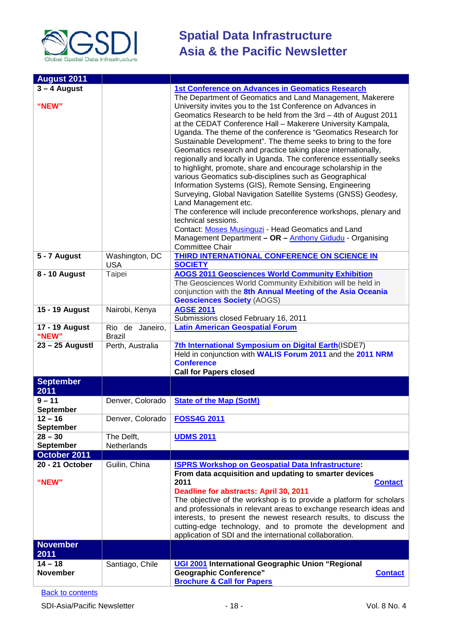

| <b>August 2011</b>            |                  |                                                                                                                                  |  |
|-------------------------------|------------------|----------------------------------------------------------------------------------------------------------------------------------|--|
| $3 - 4$ August                |                  | <b>1st Conference on Advances in Geomatics Research</b>                                                                          |  |
|                               |                  | The Department of Geomatics and Land Management, Makerere                                                                        |  |
| "NEW"                         |                  | University invites you to the 1st Conference on Advances in                                                                      |  |
|                               |                  | Geomatics Research to be held from the 3rd - 4th of August 2011                                                                  |  |
|                               |                  | at the CEDAT Conference Hall - Makerere University Kampala,                                                                      |  |
|                               |                  | Uganda. The theme of the conference is "Geomatics Research for<br>Sustainable Development". The theme seeks to bring to the fore |  |
|                               |                  | Geomatics research and practice taking place internationally,                                                                    |  |
|                               |                  | regionally and locally in Uganda. The conference essentially seeks                                                               |  |
|                               |                  | to highlight, promote, share and encourage scholarship in the                                                                    |  |
|                               |                  | various Geomatics sub-disciplines such as Geographical                                                                           |  |
|                               |                  | Information Systems (GIS), Remote Sensing, Engineering                                                                           |  |
|                               |                  | Surveying, Global Navigation Satellite Systems (GNSS) Geodesy,                                                                   |  |
|                               |                  | Land Management etc.                                                                                                             |  |
|                               |                  | The conference will include preconference workshops, plenary and                                                                 |  |
|                               |                  | technical sessions.<br>Contact: Moses Musinguzi - Head Geomatics and Land                                                        |  |
|                               |                  | Management Department - OR - Anthony Gidudu - Organising                                                                         |  |
|                               |                  | <b>Committee Chair</b>                                                                                                           |  |
| 5 - 7 August                  | Washington, DC   | THIRD INTERNATIONAL CONFERENCE ON SCIENCE IN                                                                                     |  |
|                               | <b>USA</b>       | <b>SOCIETY</b>                                                                                                                   |  |
| 8 - 10 August                 | Taipei           | <b>AOGS 2011 Geosciences World Community Exhibition</b>                                                                          |  |
|                               |                  | The Geosciences World Community Exhibition will be held in                                                                       |  |
|                               |                  | conjunction with the 8th Annual Meeting of the Asia Oceania                                                                      |  |
| 15 - 19 August                | Nairobi, Kenya   | <b>Geosciences Society (AOGS)</b><br><b>AGSE 2011</b>                                                                            |  |
|                               |                  | Submissions closed February 16, 2011                                                                                             |  |
| 17 - 19 August                | Rio de Janeiro,  | <b>Latin American Geospatial Forum</b>                                                                                           |  |
| "NEW"                         | <b>Brazil</b>    |                                                                                                                                  |  |
| 23 - 25 Augustl               | Perth, Australia | 7th International Symposium on Digital Earth (ISDE7)                                                                             |  |
|                               |                  | Held in conjunction with WALIS Forum 2011 and the 2011 NRM                                                                       |  |
|                               |                  | <b>Conference</b>                                                                                                                |  |
| <b>September</b>              |                  | <b>Call for Papers closed</b>                                                                                                    |  |
| 2011                          |                  |                                                                                                                                  |  |
| $9 - 11$                      | Denver, Colorado | <b>State of the Map (SotM)</b>                                                                                                   |  |
| <b>September</b><br>$12 - 16$ |                  |                                                                                                                                  |  |
| <b>September</b>              | Denver, Colorado | <b>FOSS4G 2011</b>                                                                                                               |  |
| $28 - 30$                     | The Delft,       | <b>UDMS 2011</b>                                                                                                                 |  |
| <b>September</b>              | Netherlands      |                                                                                                                                  |  |
| October 2011                  |                  |                                                                                                                                  |  |
| 20 - 21 October               | Guilin, China    | <b>ISPRS Workshop on Geospatial Data Infrastructure:</b>                                                                         |  |
|                               |                  | From data acquisition and updating to smarter devices                                                                            |  |
| "NEW"                         |                  | 2011<br><b>Contact</b>                                                                                                           |  |
|                               |                  | Deadline for abstracts: April 30, 2011<br>The objective of the workshop is to provide a platform for scholars                    |  |
|                               |                  | and professionals in relevant areas to exchange research ideas and                                                               |  |
|                               |                  | interests, to present the newest research results, to discuss the                                                                |  |
|                               |                  | cutting-edge technology, and to promote the development and                                                                      |  |
|                               |                  | application of SDI and the international collaboration.                                                                          |  |
| <b>November</b>               |                  |                                                                                                                                  |  |
| 2011                          |                  |                                                                                                                                  |  |
| $14 - 18$                     | Santiago, Chile  | UGI 2001 International Geographic Union "Regional                                                                                |  |
| <b>November</b>               |                  | <b>Geographic Conference"</b><br><b>Contact</b>                                                                                  |  |
|                               |                  | <b>Brochure &amp; Call for Papers</b>                                                                                            |  |